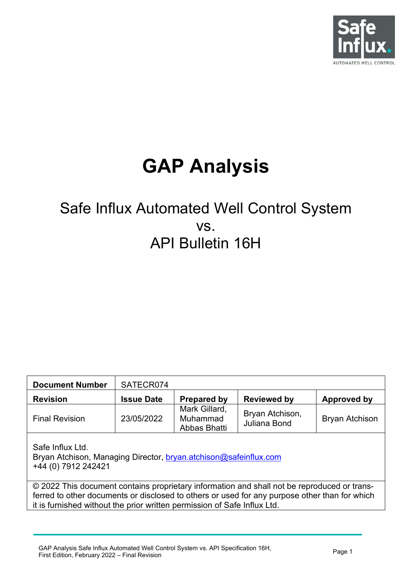

# **GAP Analysis**

# Safe Influx Automated Well Control System vs. API Bulletin 16H

| <b>Document Number</b>                                                                                                                                                                                                                                                   | SATECR074         |                    |                    |             |  |  |  |  |
|--------------------------------------------------------------------------------------------------------------------------------------------------------------------------------------------------------------------------------------------------------------------------|-------------------|--------------------|--------------------|-------------|--|--|--|--|
| <b>Revision</b>                                                                                                                                                                                                                                                          | <b>Issue Date</b> | <b>Prepared by</b> | <b>Reviewed by</b> | Approved by |  |  |  |  |
| Mark Gillard,<br>Bryan Atchison,<br>23/05/2022<br>Muhammad<br><b>Bryan Atchison</b><br><b>Final Revision</b><br>Juliana Bond<br>Abbas Bhatti                                                                                                                             |                   |                    |                    |             |  |  |  |  |
| Safe Influx Ltd.<br>Bryan Atchison, Managing Director, bryan.atchison@safeinflux.com<br>+44 (0) 7912 242421                                                                                                                                                              |                   |                    |                    |             |  |  |  |  |
| © 2022 This document contains proprietary information and shall not be reproduced or trans-<br>ferred to other documents or disclosed to others or used for any purpose other than for which<br>it is furnished without the prior written permission of Safe Influx Ltd. |                   |                    |                    |             |  |  |  |  |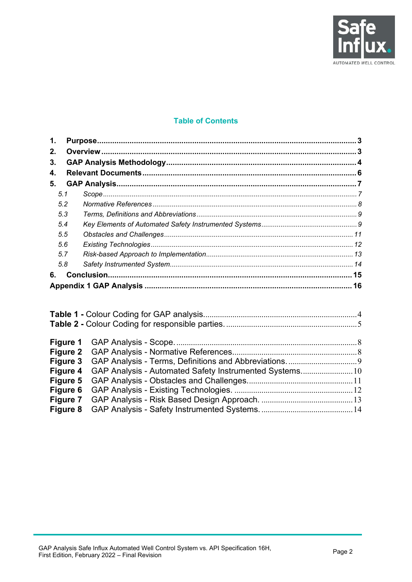

#### **Table of Contents**

| 1.  |  |
|-----|--|
| 2.  |  |
| 3.  |  |
| 4.  |  |
| 5.  |  |
| 5.1 |  |
| 5.2 |  |
| 5.3 |  |
| 5.4 |  |
| 5.5 |  |
| 5.6 |  |
| 5.7 |  |
| 5.8 |  |
| 6.  |  |
|     |  |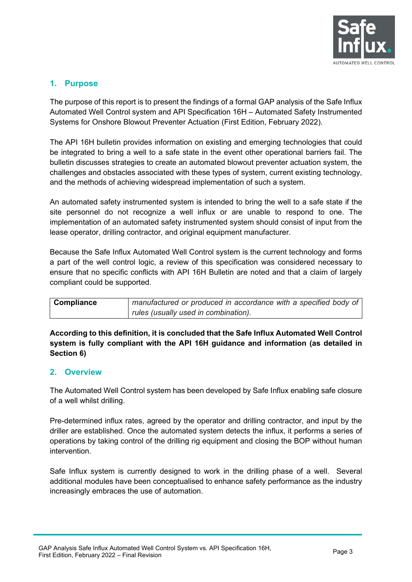

#### <span id="page-2-0"></span>**1. Purpose**

The purpose of this report is to present the findings of a formal GAP analysis of the Safe Influx Automated Well Control system and API Specification 16H – Automated Safety Instrumented Systems for Onshore Blowout Preventer Actuation (First Edition, February 2022).

The API 16H bulletin provides information on existing and emerging technologies that could be integrated to bring a well to a safe state in the event other operational barriers fail. The bulletin discusses strategies to create an automated blowout preventer actuation system, the challenges and obstacles associated with these types of system, current existing technology, and the methods of achieving widespread implementation of such a system.

An automated safety instrumented system is intended to bring the well to a safe state if the site personnel do not recognize a well influx or are unable to respond to one. The implementation of an automated safety instrumented system should consist of input from the lease operator, drilling contractor, and original equipment manufacturer.

Because the Safe Influx Automated Well Control system is the current technology and forms a part of the well control logic, a review of this specification was considered necessary to ensure that no specific conflicts with API 16H Bulletin are noted and that a claim of largely compliant could be supported.

| <b>Compliance</b> | manufactured or produced in accordance with a specified body of |
|-------------------|-----------------------------------------------------------------|
|                   | rules (usually used in combination).                            |

**According to this definition, it is concluded that the Safe Influx Automated Well Control system is fully compliant with the API 16H guidance and information (as detailed in Section [6\)](#page-14-0)** 

#### <span id="page-2-1"></span>**2. Overview**

The Automated Well Control system has been developed by Safe Influx enabling safe closure of a well whilst drilling.

Pre-determined influx rates, agreed by the operator and drilling contractor, and input by the driller are established. Once the automated system detects the influx, it performs a series of operations by taking control of the drilling rig equipment and closing the BOP without human intervention.

Safe Influx system is currently designed to work in the drilling phase of a well. Several additional modules have been conceptualised to enhance safety performance as the industry increasingly embraces the use of automation.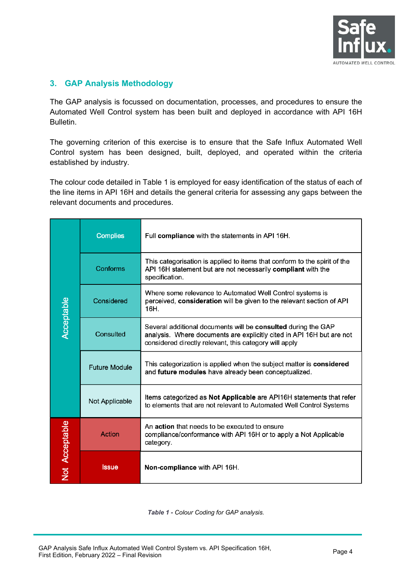

#### <span id="page-3-0"></span>**3. GAP Analysis Methodology**

The GAP analysis is focussed on documentation, processes, and procedures to ensure the Automated Well Control system has been built and deployed in accordance with API 16H Bulletin.

The governing criterion of this exercise is to ensure that the Safe Influx Automated Well Control system has been designed, built, deployed, and operated within the criteria established by industry.

The colour code detailed in [Table 1](#page-3-1) is employed for easy identification of the status of each of the line items in API 16H and details the general criteria for assessing any gaps between the relevant documents and procedures.

|                | <b>Complies</b>      | Full compliance with the statements in API 16H.                                                                                                                                                  |  |  |  |
|----------------|----------------------|--------------------------------------------------------------------------------------------------------------------------------------------------------------------------------------------------|--|--|--|
|                | Conforms             | This categorisation is applied to items that conform to the spirit of the<br>API 16H statement but are not necessarily compliant with the<br>specification.                                      |  |  |  |
|                | Considered           | Where some relevance to Automated Well Control systems is<br>perceived, consideration will be given to the relevant section of API<br>16H.                                                       |  |  |  |
| Acceptable     | Consulted            | Several additional documents will be consulted during the GAP<br>analysis. Where documents are explicitly cited in API 16H but are not<br>considered directly relevant, this category will apply |  |  |  |
|                | <b>Future Module</b> | This categorization is applied when the subject matter is considered<br>and future modules have already been conceptualized.                                                                     |  |  |  |
|                | Not Applicable       | Items categorized as Not Applicable are API16H statements that refer<br>to elements that are not relevant to Automated Well Control Systems                                                      |  |  |  |
| Not Acceptable | Action               | An action that needs to be executed to ensure<br>compliance/conformance with API 16H or to apply a Not Applicable<br>category.                                                                   |  |  |  |
|                | <b>Issue</b>         | Non-compliance with API 16H.                                                                                                                                                                     |  |  |  |

<span id="page-3-1"></span>*Table 1 - Colour Coding for GAP analysis.*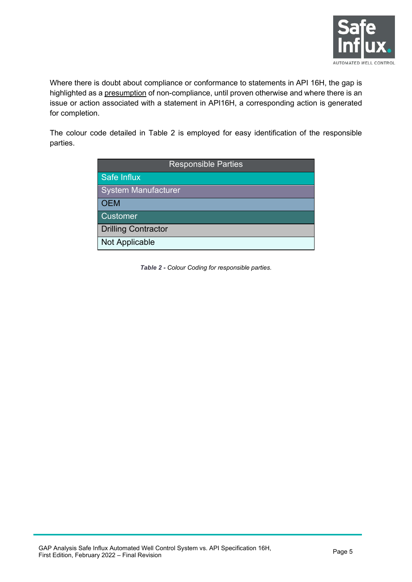

Where there is doubt about compliance or conformance to statements in API 16H, the gap is highlighted as a presumption of non-compliance, until proven otherwise and where there is an issue or action associated with a statement in API16H, a corresponding action is generated for completion.

The colour code detailed in [Table 2](#page-4-0) is employed for easy identification of the responsible parties.

| <b>Responsible Parties</b> |  |  |  |  |  |
|----------------------------|--|--|--|--|--|
| Safe Influx                |  |  |  |  |  |
| System Manufacturer        |  |  |  |  |  |
| <b>OEM</b>                 |  |  |  |  |  |
| <b>Customer</b>            |  |  |  |  |  |
| <b>Drilling Contractor</b> |  |  |  |  |  |
| <b>Not Applicable</b>      |  |  |  |  |  |

<span id="page-4-0"></span>*Table 2 - Colour Coding for responsible parties.*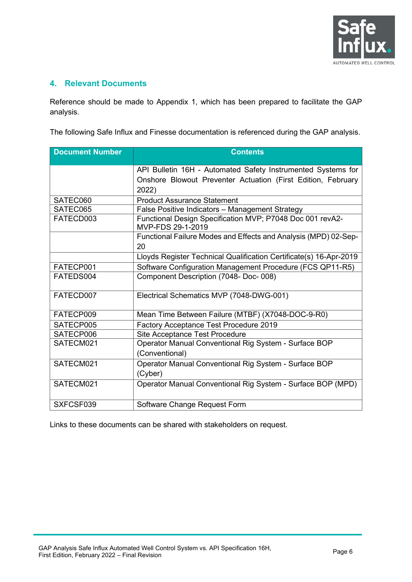

#### <span id="page-5-0"></span>**4. Relevant Documents**

Reference should be made to Appendix 1, which has been prepared to facilitate the GAP analysis.

The following Safe Influx and Finesse documentation is referenced during the GAP analysis.

| <b>Document Number</b> | <b>Contents</b>                                                                |
|------------------------|--------------------------------------------------------------------------------|
|                        | API Bulletin 16H - Automated Safety Instrumented Systems for                   |
|                        | Onshore Blowout Preventer Actuation (First Edition, February                   |
|                        | 2022)                                                                          |
| SATEC060               | <b>Product Assurance Statement</b>                                             |
| SATEC065               | False Positive Indicators - Management Strategy                                |
| FATECD003              | Functional Design Specification MVP; P7048 Doc 001 revA2-<br>MVP-FDS 29-1-2019 |
|                        | Functional Failure Modes and Effects and Analysis (MPD) 02-Sep-                |
|                        | 20                                                                             |
|                        | Lloyds Register Technical Qualification Certificate(s) 16-Apr-2019             |
| FATECP001              | Software Configuration Management Procedure (FCS QP11-R5)                      |
| FATEDS004              | Component Description (7048- Doc- 008)                                         |
| FATECD007              | Electrical Schematics MVP (7048-DWG-001)                                       |
| FATECP009              | Mean Time Between Failure (MTBF) (X7048-DOC-9-R0)                              |
| SATECP005              | Factory Acceptance Test Procedure 2019                                         |
| SATECP006              | Site Acceptance Test Procedure                                                 |
| SATECM021              | Operator Manual Conventional Rig System - Surface BOP                          |
|                        | (Conventional)                                                                 |
| SATECM021              | Operator Manual Conventional Rig System - Surface BOP                          |
|                        | (Cyber)                                                                        |
| SATECM021              | Operator Manual Conventional Rig System - Surface BOP (MPD)                    |
| SXFCSF039              | Software Change Request Form                                                   |

Links to these documents can be shared with stakeholders on request.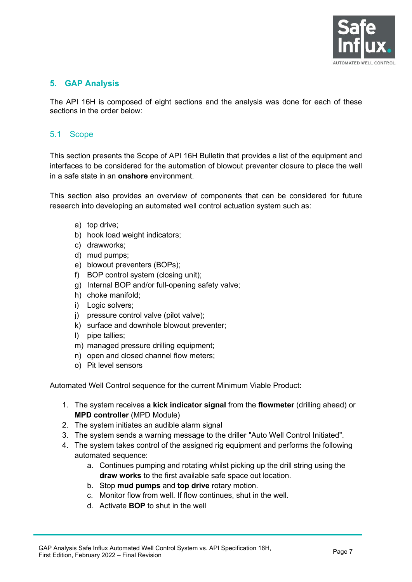

#### <span id="page-6-0"></span>**5. GAP Analysis**

The API 16H is composed of eight sections and the analysis was done for each of these sections in the order below:

#### <span id="page-6-1"></span>5.1 Scope

This section presents the Scope of API 16H Bulletin that provides a list of the equipment and interfaces to be considered for the automation of blowout preventer closure to place the well in a safe state in an **onshore** environment.

This section also provides an overview of components that can be considered for future research into developing an automated well control actuation system such as:

- a) top drive;
- b) hook load weight indicators;
- c) drawworks;
- d) mud pumps;
- e) blowout preventers (BOPs);
- f) BOP control system (closing unit);
- g) Internal BOP and/or full-opening safety valve;
- h) choke manifold;
- i) Logic solvers;
- i) pressure control valve (pilot valve);
- k) surface and downhole blowout preventer;
- l) pipe tallies;
- m) managed pressure drilling equipment;
- n) open and closed channel flow meters;
- o) Pit level sensors

Automated Well Control sequence for the current Minimum Viable Product:

- 1. The system receives **a kick indicator signal** from the **flowmeter** (drilling ahead) or **MPD controller** (MPD Module)
- 2. The system initiates an audible alarm signal
- 3. The system sends a warning message to the driller "Auto Well Control Initiated".
- 4. The system takes control of the assigned rig equipment and performs the following automated sequence:
	- a. Continues pumping and rotating whilst picking up the drill string using the **draw works** to the first available safe space out location.
	- b. Stop **mud pumps** and **top drive** rotary motion.
	- c. Monitor flow from well. If flow continues, shut in the well.
	- d. Activate **BOP** to shut in the well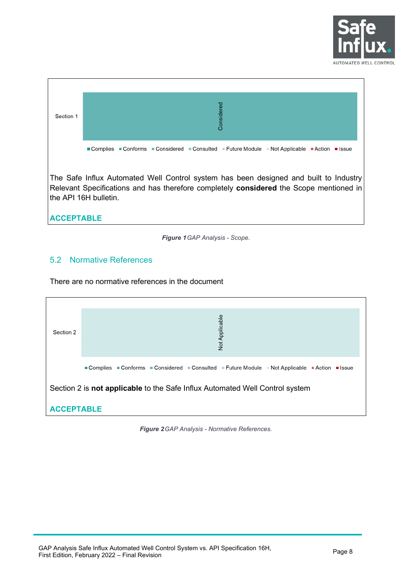

| Section 1 | Considered                                                                               |  |  |  |  |  |  |  |  |
|-----------|------------------------------------------------------------------------------------------|--|--|--|--|--|--|--|--|
|           | ■Complies ■Conforms ■Considered ■Consulted ■Future Module ■Not Applicable ■Action ■Issue |  |  |  |  |  |  |  |  |
|           | The Safe Influx Automated Well Control system has been designed and built to Industry    |  |  |  |  |  |  |  |  |

The Safe Influx Automated Well Control system has been designed and built to Industry Relevant Specifications and has therefore completely **considered** the Scope mentioned in the API 16H bulletin.

**ACCEPTABLE**

*Figure 1 GAP Analysis - Scope.* 

# <span id="page-7-1"></span><span id="page-7-0"></span>5.2 Normative References

There are no normative references in the document



<span id="page-7-2"></span>*Figure 2 GAP Analysis - Normative References.*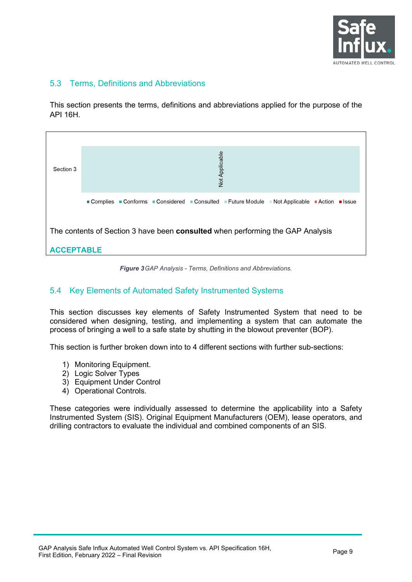

#### <span id="page-8-0"></span>5.3 Terms, Definitions and Abbreviations

This section presents the terms, definitions and abbreviations applied for the purpose of the API 16H.



*Figure 3 GAP Analysis - Terms, Definitions and Abbreviations.* 

#### <span id="page-8-2"></span><span id="page-8-1"></span>5.4 Key Elements of Automated Safety Instrumented Systems

This section discusses key elements of Safety Instrumented System that need to be considered when designing, testing, and implementing a system that can automate the process of bringing a well to a safe state by shutting in the blowout preventer (BOP).

This section is further broken down into to 4 different sections with further sub-sections:

- 1) Monitoring Equipment.
- 2) Logic Solver Types
- 3) Equipment Under Control
- 4) Operational Controls.

These categories were individually assessed to determine the applicability into a Safety Instrumented System (SIS). Original Equipment Manufacturers (OEM), lease operators, and drilling contractors to evaluate the individual and combined components of an SIS.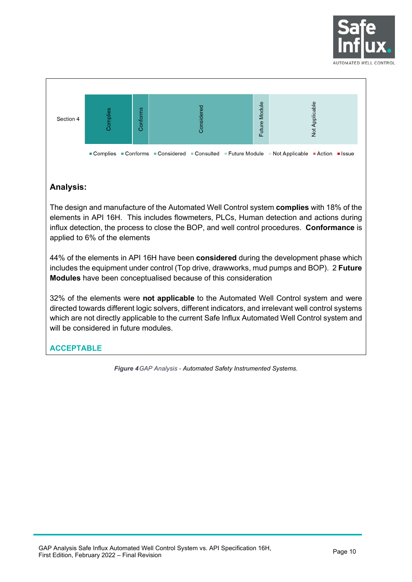



### **Analysis:**

The design and manufacture of the Automated Well Control system **complies** with 18% of the elements in API 16H. This includes flowmeters, PLCs, Human detection and actions during influx detection, the process to close the BOP, and well control procedures. **Conformance** is applied to 6% of the elements

44% of the elements in API 16H have been **considered** during the development phase which includes the equipment under control (Top drive, drawworks, mud pumps and BOP). 2 **Future Modules** have been conceptualised because of this consideration

32% of the elements were **not applicable** to the Automated Well Control system and were directed towards different logic solvers, different indicators, and irrelevant well control systems which are not directly applicable to the current Safe Influx Automated Well Control system and will be considered in future modules.

# <span id="page-9-0"></span>**ACCEPTABLE**

*Figure 4GAP Analysis - Automated Safety Instrumented Systems.*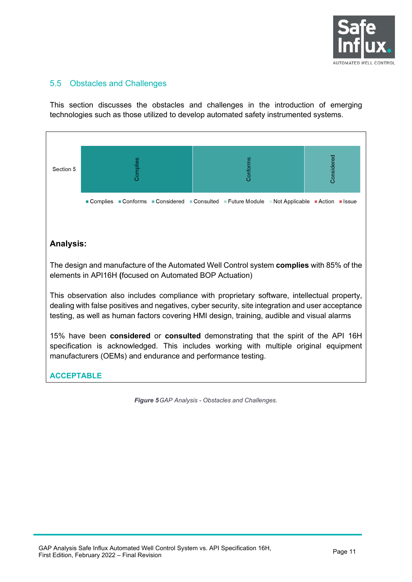

#### <span id="page-10-0"></span>5.5 Obstacles and Challenges

This section discusses the obstacles and challenges in the introduction of emerging technologies such as those utilized to develop automated safety instrumented systems.



<span id="page-10-1"></span>*Figure 5 GAP Analysis - Obstacles and Challenges.*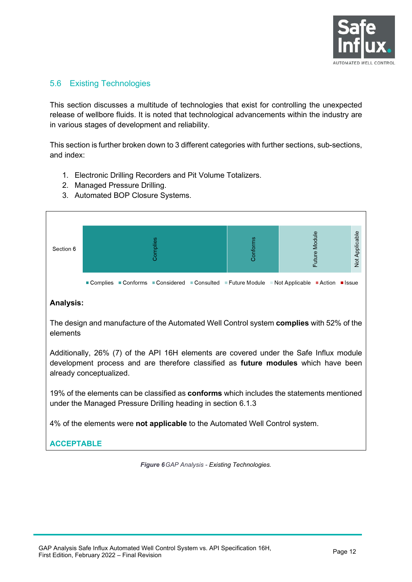

#### <span id="page-11-0"></span>5.6 Existing Technologies

This section discusses a multitude of technologies that exist for controlling the unexpected release of wellbore fluids. It is noted that technological advancements within the industry are in various stages of development and reliability.

This section is further broken down to 3 different categories with further sections, sub-sections, and index:

- 1. Electronic Drilling Recorders and Pit Volume Totalizers.
- 2. Managed Pressure Drilling.
- 3. Automated BOP Closure Systems.



#### **Analysis:**

The design and manufacture of the Automated Well Control system **complies** with 52% of the elements

Additionally, 26% (7) of the API 16H elements are covered under the Safe Influx module development process and are therefore classified as **future modules** which have been already conceptualized.

19% of the elements can be classified as **conforms** which includes the statements mentioned under the Managed Pressure Drilling heading in section 6.1.3

4% of the elements were **not applicable** to the Automated Well Control system.

# <span id="page-11-1"></span>**ACCEPTABLE**

*Figure 6 GAP Analysis - Existing Technologies.*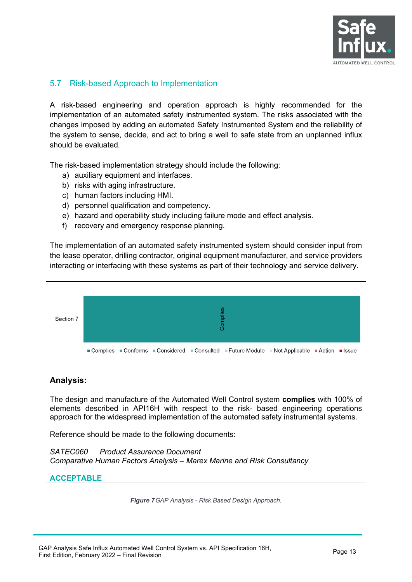

#### <span id="page-12-0"></span>5.7 Risk-based Approach to Implementation

A risk-based engineering and operation approach is highly recommended for the implementation of an automated safety instrumented system. The risks associated with the changes imposed by adding an automated Safety Instrumented System and the reliability of the system to sense, decide, and act to bring a well to safe state from an unplanned influx should be evaluated.

The risk-based implementation strategy should include the following:

- a) auxiliary equipment and interfaces.
- b) risks with aging infrastructure.
- c) human factors including HMI.
- d) personnel qualification and competency.
- e) hazard and operability study including failure mode and effect analysis.
- f) recovery and emergency response planning.

The implementation of an automated safety instrumented system should consider input from the lease operator, drilling contractor, original equipment manufacturer, and service providers interacting or interfacing with these systems as part of their technology and service delivery.



<span id="page-12-1"></span>*Figure 7 GAP Analysis - Risk Based Design Approach.*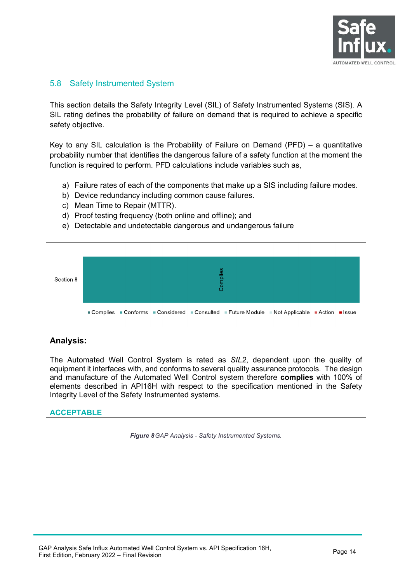

#### <span id="page-13-0"></span>5.8 Safety Instrumented System

This section details the Safety Integrity Level (SIL) of Safety Instrumented Systems (SIS). A SIL rating defines the probability of failure on demand that is required to achieve a specific safety objective.

Key to any SIL calculation is the Probability of Failure on Demand (PFD) – a quantitative probability number that identifies the dangerous failure of a safety function at the moment the function is required to perform. PFD calculations include variables such as,

- a) Failure rates of each of the components that make up a SIS including failure modes.
- b) Device redundancy including common cause failures.
- c) Mean Time to Repair (MTTR).
- d) Proof testing frequency (both online and offline); and
- e) Detectable and undetectable dangerous and undangerous failure



<span id="page-13-1"></span>*Figure 8GAP Analysis - Safety Instrumented Systems.*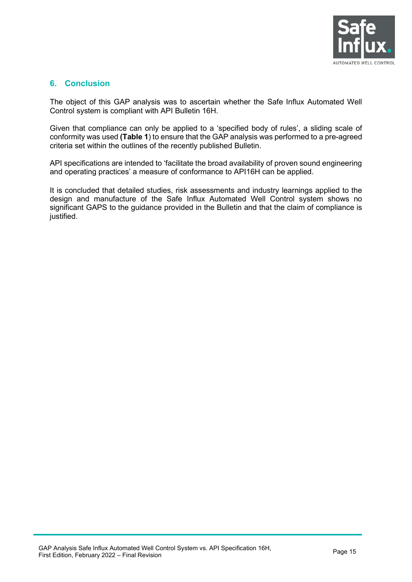

#### <span id="page-14-0"></span>**6. Conclusion**

The object of this GAP analysis was to ascertain whether the Safe Influx Automated Well Control system is compliant with API Bulletin 16H.

Given that compliance can only be applied to a 'specified body of rules', a sliding scale of conformity was used **[\(Table 1](#page-3-1)**) to ensure that the GAP analysis was performed to a pre-agreed criteria set within the outlines of the recently published Bulletin.

API specifications are intended to 'facilitate the broad availability of proven sound engineering and operating practices' a measure of conformance to API16H can be applied.

It is concluded that detailed studies, risk assessments and industry learnings applied to the design and manufacture of the Safe Influx Automated Well Control system shows no significant GAPS to the guidance provided in the Bulletin and that the claim of compliance is justified.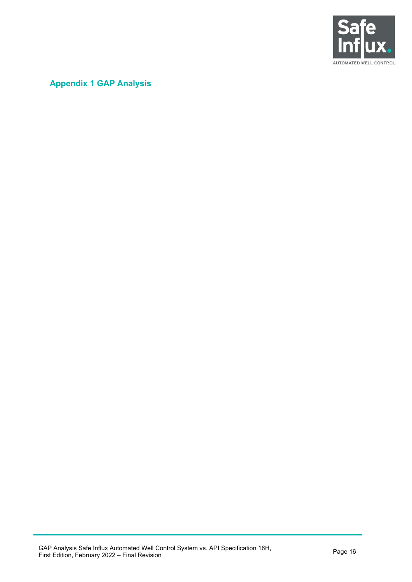

# <span id="page-15-0"></span>**Appendix 1 GAP Analysis**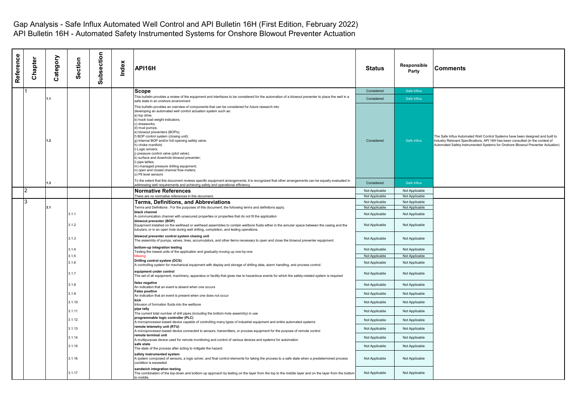| Reference | Chapter | Category | Section | Subsection | Index | API16H                                                                                                                                                                                                                                                                                                                                                                                                                                                                                                                                                                                                                                                     | <b>Status</b>  | Responsible<br>Party | <b>Comments</b>                                                                                                                                                                                                                                     |
|-----------|---------|----------|---------|------------|-------|------------------------------------------------------------------------------------------------------------------------------------------------------------------------------------------------------------------------------------------------------------------------------------------------------------------------------------------------------------------------------------------------------------------------------------------------------------------------------------------------------------------------------------------------------------------------------------------------------------------------------------------------------------|----------------|----------------------|-----------------------------------------------------------------------------------------------------------------------------------------------------------------------------------------------------------------------------------------------------|
|           |         |          |         |            |       | Scope                                                                                                                                                                                                                                                                                                                                                                                                                                                                                                                                                                                                                                                      | Considered     | Safe Influx          |                                                                                                                                                                                                                                                     |
|           |         | 1.1      |         |            |       | This bulletin provides a review of the equipment and interfaces to be considered for the automation of a blowout preventer to place the well in a<br>safe state in an onshore environment                                                                                                                                                                                                                                                                                                                                                                                                                                                                  | Considered     | Safe Influx          |                                                                                                                                                                                                                                                     |
|           |         | 1.2      |         |            |       | This bulletin provides an overview of components that can be considered for future research into<br>developing an automated well control actuation system such as:<br>a) top drive:<br>b) hook load weight indicators;<br>c) drawworks;<br>d) mud pumps;<br>e) blowout preventers (BOPs);<br>f) BOP control system (closing unit);<br>g) Internal BOP and/or full-opening safety valve;<br>h) choke manifold;<br>) Logic solvers;<br>) pressure control valve (pilot valve);<br>k) surface and downhole blowout preventer;<br>) pipe tallies;<br>m) managed pressure drilling equipment;<br>) open and closed channel flow meters;<br>o) Pit level sensors | Considered     | Safe Influx          | The Safe Influx Automated Well Control Systems have been designed and built to<br>Industry Relevant Specifications, API 16H has been consulted (in the context of<br>Automated Safety Instrumented Systems for Onshore Blowout Preventer Actuation) |
|           |         | 1.3      |         |            |       | To the extent that this document reviews specific equipment arrangements, it is recognized that other arrangements can be equally evaluated in<br>addressing well requirements and achieving safety and operational efficiency                                                                                                                                                                                                                                                                                                                                                                                                                             | Considered     | Safe Influx          |                                                                                                                                                                                                                                                     |
|           |         |          |         |            |       | <b>Normative References</b>                                                                                                                                                                                                                                                                                                                                                                                                                                                                                                                                                                                                                                | Not Applicable | Not Applicable       |                                                                                                                                                                                                                                                     |
|           |         |          |         |            |       | There are no normative references in this document.                                                                                                                                                                                                                                                                                                                                                                                                                                                                                                                                                                                                        | Not Applicable | Not Applicable       |                                                                                                                                                                                                                                                     |
|           | 3       |          |         |            |       | Terms, Definitions, and Abbreviations                                                                                                                                                                                                                                                                                                                                                                                                                                                                                                                                                                                                                      | Not Applicable | Not Applicable       |                                                                                                                                                                                                                                                     |
|           |         | 3.1      |         |            |       | Terms and Definitions : For the purposes of this document, the following terms and definitions apply.<br>black channel                                                                                                                                                                                                                                                                                                                                                                                                                                                                                                                                     | Not Applicable | Not Applicable       |                                                                                                                                                                                                                                                     |
|           |         |          | 3.1.1   |            |       | A communication channel with unsecured properties or properties that do not fit the application                                                                                                                                                                                                                                                                                                                                                                                                                                                                                                                                                            | Not Applicable | Not Applicable       |                                                                                                                                                                                                                                                     |
|           |         |          | 3.1.2   |            |       | blowout preventer (BOP)<br>Equipment installed on the wellhead or wellhead assemblies to contain wellbore fluids either in the annular space between the casing and the<br>tubulars, or in an open hole during well drilling, completion, and testing operations.                                                                                                                                                                                                                                                                                                                                                                                          | Not Applicable | Not Applicable       |                                                                                                                                                                                                                                                     |
|           |         |          | 3.1.3   |            |       | blowout preventer control system closing unit<br>The assembly of pumps, valves, lines, accumulators, and other items necessary to open and close the blowout preventer equipment.                                                                                                                                                                                                                                                                                                                                                                                                                                                                          | Not Applicable | Not Applicable       |                                                                                                                                                                                                                                                     |
|           |         |          | 3.1.4   |            |       | bottom-up integration testing<br>Testing the lowest units of the application and gradually moving up one-by-one                                                                                                                                                                                                                                                                                                                                                                                                                                                                                                                                            | Not Applicable | Not Applicable       |                                                                                                                                                                                                                                                     |
|           |         |          | 3.1.5   |            |       | <b>Aissinc</b>                                                                                                                                                                                                                                                                                                                                                                                                                                                                                                                                                                                                                                             | Not Applicable | Not Applicable       |                                                                                                                                                                                                                                                     |
|           |         |          | 3.1.6   |            |       | Drilling control system (DCS)<br>A controlling system for mechanical equipment with display and storage of drilling data, alarm handling, and process control.                                                                                                                                                                                                                                                                                                                                                                                                                                                                                             | Not Applicable | Not Applicable       |                                                                                                                                                                                                                                                     |
|           |         |          | 3.1.7   |            |       | equipment under control<br>The set of all equipment, machinery, apparatus or facility that gives rise to hazardous events for which the safety-related system is required                                                                                                                                                                                                                                                                                                                                                                                                                                                                                  | Not Applicable | Not Applicable       |                                                                                                                                                                                                                                                     |
|           |         |          | 3.1.8   |            |       | false negative<br>An indication that an event is absent when one occurs                                                                                                                                                                                                                                                                                                                                                                                                                                                                                                                                                                                    | Not Applicable | Not Applicable       |                                                                                                                                                                                                                                                     |
|           |         |          | 3.1.9   |            |       | <b>False positive</b>                                                                                                                                                                                                                                                                                                                                                                                                                                                                                                                                                                                                                                      | Not Applicable | Not Applicable       |                                                                                                                                                                                                                                                     |
|           |         |          | 3.1.10  |            |       | An indication that an event is present when one does not occur<br>kick                                                                                                                                                                                                                                                                                                                                                                                                                                                                                                                                                                                     | Not Applicable | Not Applicable       |                                                                                                                                                                                                                                                     |
|           |         |          | 3.1.11  |            |       | Intrusion of formation fluids into the wellbore<br>pipe tally                                                                                                                                                                                                                                                                                                                                                                                                                                                                                                                                                                                              | Not Applicable | Not Applicable       |                                                                                                                                                                                                                                                     |
|           |         |          | 3.1.12  |            |       | The current total number of drill pipes (including the bottom-hole assembly) in use<br>programmable logic controller (PLC)                                                                                                                                                                                                                                                                                                                                                                                                                                                                                                                                 | Not Applicable | Not Applicable       |                                                                                                                                                                                                                                                     |
|           |         |          | 3.1.13  |            |       | A microprocessor-based device capable of controlling many types of industrial equipment and entire automated systems<br>remote telemetry unit (RTU)                                                                                                                                                                                                                                                                                                                                                                                                                                                                                                        | Not Applicable | Not Applicable       |                                                                                                                                                                                                                                                     |
|           |         |          |         |            |       | A microprocessor-based device connected to sensors, transmitters, or process equipment for the purpose of remote control<br>remote terminal unit                                                                                                                                                                                                                                                                                                                                                                                                                                                                                                           |                |                      |                                                                                                                                                                                                                                                     |
|           |         |          | 3.1.14  |            |       | A multipurpose device used for remote monitoring and control of various devices and systems for automation<br>safe state                                                                                                                                                                                                                                                                                                                                                                                                                                                                                                                                   | Not Applicable | Not Applicable       |                                                                                                                                                                                                                                                     |
|           |         |          | 3.1.15  |            |       | The state of the process after acting to mitigate the hazard                                                                                                                                                                                                                                                                                                                                                                                                                                                                                                                                                                                               | Not Applicable | Not Applicable       |                                                                                                                                                                                                                                                     |
|           |         |          | 3.1.16  |            |       | safety instrumented system<br>A system composed of sensors, a logic solver, and final control elements for taking the process to a safe state when a predetermined process<br>condition is exceeded                                                                                                                                                                                                                                                                                                                                                                                                                                                        | Not Applicable | Not Applicable       |                                                                                                                                                                                                                                                     |
|           |         |          | 3.1.17  |            |       | sandwich integration testing<br>The combination of the top-down and bottom-up approach by testing on the layer from the top to the middle layer and on the layer from the bottom<br>to middle                                                                                                                                                                                                                                                                                                                                                                                                                                                              | Not Applicable | Not Applicable       |                                                                                                                                                                                                                                                     |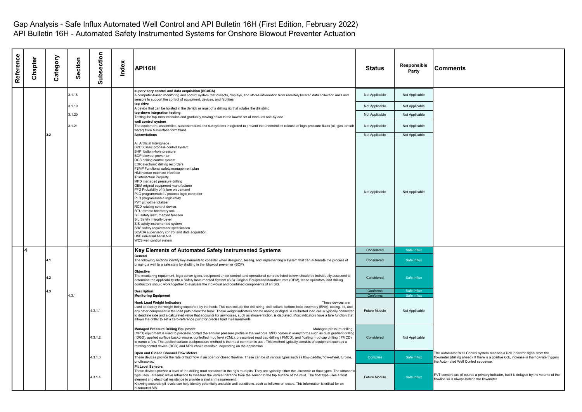| Reference | Chapter | Category | Section | Subsection | Index | API16H                                                                                                                                                                                                                                                                                                                                                                                                                                                                                                                                                                                                                                                                                                                                                                                                                                   | Status               | Responsible<br>Party       | Comments                                                                                                                                                                                                          |
|-----------|---------|----------|---------|------------|-------|------------------------------------------------------------------------------------------------------------------------------------------------------------------------------------------------------------------------------------------------------------------------------------------------------------------------------------------------------------------------------------------------------------------------------------------------------------------------------------------------------------------------------------------------------------------------------------------------------------------------------------------------------------------------------------------------------------------------------------------------------------------------------------------------------------------------------------------|----------------------|----------------------------|-------------------------------------------------------------------------------------------------------------------------------------------------------------------------------------------------------------------|
|           |         |          | 3.1.18  |            |       | supervisory control and data acquisition (SCADA)<br>A computer-based monitoring and control system that collects, displays, and stores information from remotely located data collection units and<br>sensors to support the control of equipment, devices, and facilities                                                                                                                                                                                                                                                                                                                                                                                                                                                                                                                                                               | Not Applicable       | Not Applicable             |                                                                                                                                                                                                                   |
|           |         |          | 3.1.19  |            |       | top drive<br>A device that can be hoisted in the derrick or mast of a drilling rig that rotates the drillstring                                                                                                                                                                                                                                                                                                                                                                                                                                                                                                                                                                                                                                                                                                                          | Not Applicable       | Not Applicable             |                                                                                                                                                                                                                   |
|           |         |          | 3.1.20  |            |       | top-down integration testing<br>Testing the top-most modules and gradually moving down to the lowest set of modules one-by-one                                                                                                                                                                                                                                                                                                                                                                                                                                                                                                                                                                                                                                                                                                           | Not Applicable       | Not Applicable             |                                                                                                                                                                                                                   |
|           |         |          | 3.1.21  |            |       | well control system<br>The equipment, assemblies, subassemblies and subsystems integrated to prevent the uncontrolled release of high-pressure fluids (oil, gas, or salt<br>water) from subsurface formations                                                                                                                                                                                                                                                                                                                                                                                                                                                                                                                                                                                                                            | Not Applicable       | Not Applicable             |                                                                                                                                                                                                                   |
|           |         | 3.2      |         |            |       | <b>Abbreviations</b>                                                                                                                                                                                                                                                                                                                                                                                                                                                                                                                                                                                                                                                                                                                                                                                                                     | Not Applicable       | Not Applicable             |                                                                                                                                                                                                                   |
|           |         |          |         |            |       | Al Artificial Intellignece<br>BPCS Basic process control system<br>BHP bottom-hole pressure<br>BOP blowout preventer<br>DCS drilling control system<br>EDR electronic drilling recorders<br>FSMP Functional safety management plan<br>HMI human machine interface<br>IP Intellectual Property<br>MPD managed pressure drilling<br>OEM original equipment manufacturer<br>PFD Probability of failure on demand<br>PLC programmable / process logic controller<br>PLR programmable logic relay<br>PVT pit volme totalizer<br>RCD rotating control device<br>RTU remote telemetry unit<br>SIF safety instrumented function<br>SIL Safety Integrity Level<br>SIS safety instrumented system<br>SRS safety requirement specification<br>SCADA supervisory control and data acquisition<br>USB universal serial bus<br>WCS well control system | Not Applicable       | Not Applicable             |                                                                                                                                                                                                                   |
|           | 4       |          |         |            |       | Key Elements of Automated Safety Instrumented Systems                                                                                                                                                                                                                                                                                                                                                                                                                                                                                                                                                                                                                                                                                                                                                                                    | Considered           | Safe Influx                |                                                                                                                                                                                                                   |
|           |         | 4.1      |         |            |       | General<br>The following sections identify key elements to consider when designing, testing, and implementing a system that can automate the process of<br>bringing a well to a safe state by shutting in the blowout preventer (BOP)                                                                                                                                                                                                                                                                                                                                                                                                                                                                                                                                                                                                    | Considered           | Safe Influx                |                                                                                                                                                                                                                   |
|           |         | 4.2      |         |            |       | Objective<br>The monitoring equipment, logic solver types, equipment under control, and operational controls listed below, should be individually assessed to<br>determine the applicability into a Safety Instrumented System (SIS). Original Equipment Manufacturers (OEM), lease operators, and drilling<br>contractors should work together to evaluate the individual and combined components of an SIS.                                                                                                                                                                                                                                                                                                                                                                                                                            | Considered           | Safe Influx                |                                                                                                                                                                                                                   |
|           |         | 4.3      | 4.3.1   |            |       | <b>Description</b><br><b>Monitoring Equipment</b>                                                                                                                                                                                                                                                                                                                                                                                                                                                                                                                                                                                                                                                                                                                                                                                        | Conforms<br>Conforms | Safe Influx<br>Safe Influx |                                                                                                                                                                                                                   |
|           |         |          |         | 4.3.1.1    |       | <b>Hook Load Weight Indicators</b><br>These devices are<br>used to display the weight being supported by the hook. This can include the drill string, drill collars, bottom-hole assembly (BHA), casing, bit, and<br>any other component in the load path below the hook. These weight indicators can be analog or digital. A calibrated load cell is typically connected<br>to deadline side and a calculated value that accounts for any losses, such as sheave friction, is displayed. Most indicators have a tare function that<br>allows the driller to set a zero-reference point for precise load measurements.                                                                                                                                                                                                                   | Future Module        | Not Applicable             |                                                                                                                                                                                                                   |
|           |         |          |         | 4.3.1.2    |       | <b>Managed Pressure Drilling Equipment</b><br>Managed pressure drilling<br>(MPD) equipment is used to precisely control the annular pressure profile in the wellbore. MPD comes in many forms such as dual gradient drilling<br>(DGD), applied surface backpressure, controlled mud level (CML), pressurized mud cap drilling (PMCD), and floating mud cap drilling (FMCD)<br>to name a few. The applied surface backpressure method is the most common in use . This method typically consists of equipment such as a<br>rotating control device (RCD) and MPD choke manifold, depending on the application.                                                                                                                                                                                                                            | Considered           | Not Applicable             |                                                                                                                                                                                                                   |
|           |         |          |         | 4.3.1.3    |       | Open and Closed Channel Flow Meters<br>These devices provide the rate of fluid flow in an open or closed flowline. These can be of various types such as flow-paddle, flow-wheel, turbine,<br>or ultrasonic.                                                                                                                                                                                                                                                                                                                                                                                                                                                                                                                                                                                                                             | <b>Complies</b>      | Safe Influx                | The Automated Well Control system receives a kick indicator signal from the<br>flowmeter (drilling ahead). If there is a positive kick, increase in the flowrate triggers<br>the Automated Well Control sequence. |
|           |         |          |         | 4.3.1.4    |       | <b>Pit Level Sensors</b><br>These devices provide a level of the drilling mud contained in the rig's mud pits. They are typically either the ultrasonic or float types. The ultrasoni<br>type uses ultrasonic wave refraction to measure the vertical distance from the sensor to the top surface of the mud. The float type uses a float<br>element and electrical resistance to provide a similar measurement.<br>Knowing accurate pit levels can help identify potentially unstable well conditions, such as influxes or losses. This information is critical for an<br>automated SIS.                                                                                                                                                                                                                                                | Future Module        | Safe Influx                | PVT sensors are of course a primary indicator, but it is delayed by the volume of the<br>flowline so is always behind the flowmeter                                                                               |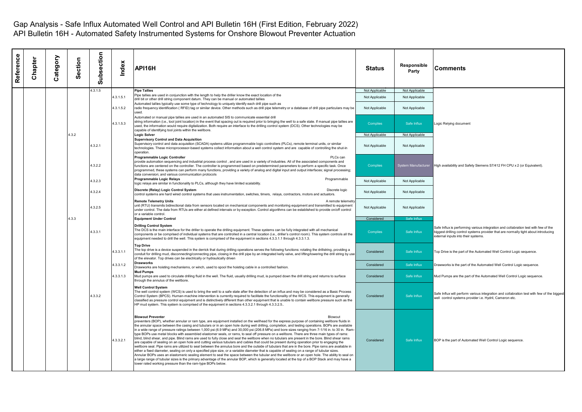| Reference | Chapter | δ<br>atego<br>ن | ction<br>Ō<br>Ŏ. | Subsection | Index     | API16H                                                                                                                                                                                                                                                                                                                                                                                                                                                                                                                                                                                                                                                                                                                                                                                                                                                                                                                                                                                                                                                                                                                                                                                                                                                                                                                                                                                                                                                                                                                                                                                                                          | <b>Status</b>   | Responsible<br>Party | <b>Comments</b>                                                                                                                                                                                                   |
|-----------|---------|-----------------|------------------|------------|-----------|---------------------------------------------------------------------------------------------------------------------------------------------------------------------------------------------------------------------------------------------------------------------------------------------------------------------------------------------------------------------------------------------------------------------------------------------------------------------------------------------------------------------------------------------------------------------------------------------------------------------------------------------------------------------------------------------------------------------------------------------------------------------------------------------------------------------------------------------------------------------------------------------------------------------------------------------------------------------------------------------------------------------------------------------------------------------------------------------------------------------------------------------------------------------------------------------------------------------------------------------------------------------------------------------------------------------------------------------------------------------------------------------------------------------------------------------------------------------------------------------------------------------------------------------------------------------------------------------------------------------------------|-----------------|----------------------|-------------------------------------------------------------------------------------------------------------------------------------------------------------------------------------------------------------------|
|           |         |                 |                  | 4.3.1.5    |           | <b>Pipe Tallies</b>                                                                                                                                                                                                                                                                                                                                                                                                                                                                                                                                                                                                                                                                                                                                                                                                                                                                                                                                                                                                                                                                                                                                                                                                                                                                                                                                                                                                                                                                                                                                                                                                             | Not Applicable  | Not Applicable       |                                                                                                                                                                                                                   |
|           |         |                 |                  |            | 4.3.1.5.1 | Pipe tallies are used in conjunction with the length to help the driller know the exact location of the                                                                                                                                                                                                                                                                                                                                                                                                                                                                                                                                                                                                                                                                                                                                                                                                                                                                                                                                                                                                                                                                                                                                                                                                                                                                                                                                                                                                                                                                                                                         | Not Applicable  | Not Applicable       |                                                                                                                                                                                                                   |
|           |         |                 |                  |            | 4.3.1.5.2 | drill bit or other drill string component datum. They can be manual or automated tallies<br>Automated tallies typically use some type of technology to uniquely identify each drill pipe such as<br>radio frequency identification ( RFID) tag or similar device. Other methods such as drill pipe telemetry or a database of drill pipe particulars may be                                                                                                                                                                                                                                                                                                                                                                                                                                                                                                                                                                                                                                                                                                                                                                                                                                                                                                                                                                                                                                                                                                                                                                                                                                                                     | Not Applicable  | Not Applicable       |                                                                                                                                                                                                                   |
|           |         |                 |                  |            | 4.3.1.5.3 | Automated or manual pipe tallies are used in an automated SIS to communicate essential drill<br>string information (i.e., tool joint location) in the event that spacing out is required prior to bringing the well to a safe state. If manual pipe tallies are<br>used, the information would require digitalization. Both require an interface to the drilling control system (DCS). Other technologies may be<br>capable of identifying tool joints within the wellbore.                                                                                                                                                                                                                                                                                                                                                                                                                                                                                                                                                                                                                                                                                                                                                                                                                                                                                                                                                                                                                                                                                                                                                     | Complies        | Safe Influx          | Logic Relying document                                                                                                                                                                                            |
|           |         |                 | 4.3.2            |            |           | Logic Solver                                                                                                                                                                                                                                                                                                                                                                                                                                                                                                                                                                                                                                                                                                                                                                                                                                                                                                                                                                                                                                                                                                                                                                                                                                                                                                                                                                                                                                                                                                                                                                                                                    | Not Applicable  | Not Applicable       |                                                                                                                                                                                                                   |
|           |         |                 |                  | 4.3.2.1    |           | <b>Supervisory Control and Data Acquisition</b><br>Supervisory control and data acquisition (SCADA) systems utilize programmable logic controllers (PLCs), remote terminal units, or similar<br>technologies. These microprocessor-based systems collect information about a well control system and are capable of controlling the shut-in<br>operation.                                                                                                                                                                                                                                                                                                                                                                                                                                                                                                                                                                                                                                                                                                                                                                                                                                                                                                                                                                                                                                                                                                                                                                                                                                                                       | Not Applicable  | Not Applicable       |                                                                                                                                                                                                                   |
|           |         |                 |                  | 4.3.2.2    |           | <b>Programmable Logic Controller</b><br>PLCs can<br>provide automation sequencing and industrial process control, and are used in a variety of industries. All of the associated components and<br>functions are centered on the controller. The controller is programmed based on predetermined parameters to perform a specific task. Once<br>programmed, these systems can perform many functions, providing a variety of analog and digital input and output interfaces; signal processing;<br>data conversion; and various communication protocols                                                                                                                                                                                                                                                                                                                                                                                                                                                                                                                                                                                                                                                                                                                                                                                                                                                                                                                                                                                                                                                                         | <b>Complies</b> |                      | System Manufacturer   High availability and Safety Siemens S7/412 FH CPU x 2 (or Equivalent).                                                                                                                     |
|           |         |                 |                  | 4.3.2.3    |           | <b>Programmable Logic Relays</b><br>Programmable<br>logic relays are similar in functionality to PLCs, although they have limited scalability.                                                                                                                                                                                                                                                                                                                                                                                                                                                                                                                                                                                                                                                                                                                                                                                                                                                                                                                                                                                                                                                                                                                                                                                                                                                                                                                                                                                                                                                                                  | Not Applicable  | Not Applicable       |                                                                                                                                                                                                                   |
|           |         |                 |                  | 4.3.2.4    |           | Discrete (Relay) Logic Control System<br>Discrete logic<br>control systems are hard wired control systems that uses instrumentation, switches, timers, relays, contractors, motors and actuators.                                                                                                                                                                                                                                                                                                                                                                                                                                                                                                                                                                                                                                                                                                                                                                                                                                                                                                                                                                                                                                                                                                                                                                                                                                                                                                                                                                                                                               | Not Applicable  | Not Applicable       |                                                                                                                                                                                                                   |
|           |         |                 |                  | 4.3.2.5    |           | <b>Remote Telemetry Units</b><br>A remote telemetry<br>unit (RTU) transmits bidirectional data from sensors located on mechanical components and monitoring equipment and transmitted to equipment<br>under control. The data from RTUs are either at defined intervals or by exception. Control algorithms can be established to provide on/off control<br>or a variable control                                                                                                                                                                                                                                                                                                                                                                                                                                                                                                                                                                                                                                                                                                                                                                                                                                                                                                                                                                                                                                                                                                                                                                                                                                               | Not Applicable  | Not Applicable       |                                                                                                                                                                                                                   |
|           |         |                 | 4.3.3            |            |           | <b>Equipment Under Control</b>                                                                                                                                                                                                                                                                                                                                                                                                                                                                                                                                                                                                                                                                                                                                                                                                                                                                                                                                                                                                                                                                                                                                                                                                                                                                                                                                                                                                                                                                                                                                                                                                  | Considered      | Safe Influx          |                                                                                                                                                                                                                   |
|           |         |                 |                  | 4.3.3.1    |           | <b>Drilling Control System</b><br>The DCS is the main interface for the driller to operate the drilling equipment. These systems can be fully integrated with all mechanical<br>components or be comprised of individual systems that are controlled in a central location (i.e., driller's control room). This system controls all the<br>equipment needed to drill the well. This system is comprised of the equipment in sections 4.3.3.1.1 through 4.3.3.1.3.                                                                                                                                                                                                                                                                                                                                                                                                                                                                                                                                                                                                                                                                                                                                                                                                                                                                                                                                                                                                                                                                                                                                                               | Complies        | Safe Influx          | Safe Influx is performing various integration and collabration test with few of the<br>biggest drilling control systems provider that are normally tight about introducing<br>external inputs into their systems. |
|           |         |                 |                  |            | 4.3.3.1.1 | <b>Top Drive</b><br>The top drive is a device suspended in the derrick that during drilling operations serves the following functions: rotating the drillstring, providing a<br>conduit for drilling mud, disconnecting/connecting pipe, closing in the drill pipe by an integrated kelly valve, and lifting/lowering the drill string by use<br>of the elevator. Top drives can be electrically or hydraulically driven                                                                                                                                                                                                                                                                                                                                                                                                                                                                                                                                                                                                                                                                                                                                                                                                                                                                                                                                                                                                                                                                                                                                                                                                        | Considered      | Safe Influx          | Top Drive is the part of the Automated Well Control Logic sequence.                                                                                                                                               |
|           |         |                 |                  |            | 4.3.3.1.2 | <b>Drawworks</b><br>Drawworks are hoisting mechanisms, or winch, used to spool the hoisting cable in a controlled fashion.                                                                                                                                                                                                                                                                                                                                                                                                                                                                                                                                                                                                                                                                                                                                                                                                                                                                                                                                                                                                                                                                                                                                                                                                                                                                                                                                                                                                                                                                                                      | Considered      | Safe Influx          | Drawworks is the part of the Automated Well Control Logic sequence.                                                                                                                                               |
|           |         |                 |                  |            | 4.3.3.1.3 | <b>Mud Pumps</b><br>Mud pumps are used to circulate drilling fluid in the well. The fluid, usually drilling mud, is pumped down the drill string and returns to surface<br>through the annulus of the wellbore.                                                                                                                                                                                                                                                                                                                                                                                                                                                                                                                                                                                                                                                                                                                                                                                                                                                                                                                                                                                                                                                                                                                                                                                                                                                                                                                                                                                                                 | Considered      | Safe Influx          | Mud Pumps are the part of the Automated Well Control Logic sequence.                                                                                                                                              |
|           |         |                 |                  | 4.3.3.2    |           | <b>Well Control System</b><br>The well control system (WCS) is used to bring the well to a safe state after the detection of an influx and may be considered as a Basic Process<br>Control System (BPCS). Human-machine intervention is currently required to facilitate the functionality of the WCS. This equipment is generally<br>classified as pressure control equipment and is distinctively different than other equipment that is unable to contain wellbore pressure such as the<br>HP mud system. This system is comprised of the equipment in sections 4.3.3.2.1 through 4.3.3.2.5                                                                                                                                                                                                                                                                                                                                                                                                                                                                                                                                                                                                                                                                                                                                                                                                                                                                                                                                                                                                                                  | Considered      | Safe Influx          | Safe Influx will perform various integration and collabration test with few of the biggest<br>well control systems provider i.e. Hydril, Cameron etc.                                                             |
|           |         |                 |                  |            | 4.3.3.2.1 | <b>Blowout Preventer</b><br>Blowout<br>preventers (BOP), whether annular or ram type, are equipment installed on the wellhead for the express purpose of containing wellbore fluids in<br>the annular space between the casing and tubulars or in an open hole during well drilling, completion, and testing operations. BOPs are available<br>in a wide range of pressure ratings between 1,000 psi (6.9 MPa) and 30,000 psi (206.8 MPa) and bore sizes ranging from 7-1/16 in. to 30 in. Ram-<br>type BOPs use metal blocks with assembled elastomer seals, or rams, to seal off pressure on a wellbore. There are three main types of rams:<br>blind, blind shear, and pipe. Blind rams are used to fully close and seal the wellbore when no tubulars are present in the bore. Blind shear rams<br>are capable of sealing on an open hole and cutting various tubulars and cables that could be present during operation prior to engaging the<br>wellbore seal. Pipe rams are utilized to seal between the annulus bore and the outside of tubulars that are in the bore. Pipe rams are available in<br>either a fixed diameter, sealing on only a specified pipe size, or a variable diameter that is capable of sealing on a range of tubular sizes.<br>Annular BOPs uses an elastomeric sealing element to seal the space between the tubular and the wellbore or an open hole. The ability to seal on<br>a large range of tubular sizes is the primary advantage of the annular BOP, which is generally located at the top of a BOP Stack and may have a<br>lower rated working pressure than the ram-type BOPs below. | Considered      | Safe Influx          | BOP is the part of Automated Well Control Logic sequence.                                                                                                                                                         |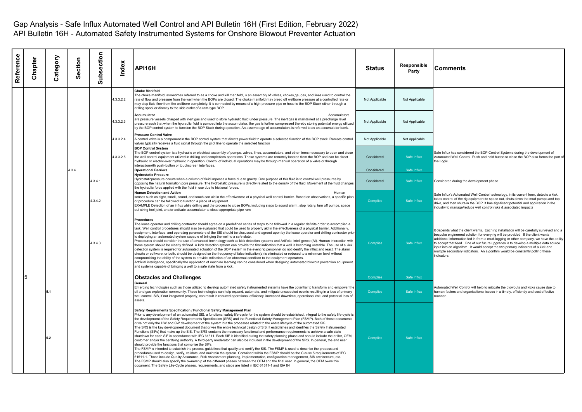| Reference | Chapter | Category | Section | Subsection | Index     | API16H                                                                                                                                                                                                                                                                                                                                                                                                                                                                                                                                                                                                                                                                                                                                                                                                                                                                                                                                                                                                                                                                                                                                                                                                                                                                                                                                                                                                                                                                                                                                                                                                                                                                                                                                                                                                                                                  | <b>Status</b>   | Responsible<br>Party | <b>Comments</b>                                                                                                                                                                                                                                                                                                                                                                                                                                                                                                                                    |
|-----------|---------|----------|---------|------------|-----------|---------------------------------------------------------------------------------------------------------------------------------------------------------------------------------------------------------------------------------------------------------------------------------------------------------------------------------------------------------------------------------------------------------------------------------------------------------------------------------------------------------------------------------------------------------------------------------------------------------------------------------------------------------------------------------------------------------------------------------------------------------------------------------------------------------------------------------------------------------------------------------------------------------------------------------------------------------------------------------------------------------------------------------------------------------------------------------------------------------------------------------------------------------------------------------------------------------------------------------------------------------------------------------------------------------------------------------------------------------------------------------------------------------------------------------------------------------------------------------------------------------------------------------------------------------------------------------------------------------------------------------------------------------------------------------------------------------------------------------------------------------------------------------------------------------------------------------------------------------|-----------------|----------------------|----------------------------------------------------------------------------------------------------------------------------------------------------------------------------------------------------------------------------------------------------------------------------------------------------------------------------------------------------------------------------------------------------------------------------------------------------------------------------------------------------------------------------------------------------|
|           |         |          |         |            | 4.3.3.2.2 | <b>Choke Manifold</b><br>The choke manifold, sometimes referred to as a choke and kill manifold, is an assembly of valves, chokes,gauges, and lines used to control the<br>rate of flow and pressure from the well when the BOPs are closed. The choke manifold may bleed off wellbore pressure at a controlled rate or<br>may stop fluid flow from the wellbore completely. It is connected by means of a high-pressure pipe or hose to the BOP Stack either through a<br>drilling spool or directly to the side outlet of a ram-type BOP.                                                                                                                                                                                                                                                                                                                                                                                                                                                                                                                                                                                                                                                                                                                                                                                                                                                                                                                                                                                                                                                                                                                                                                                                                                                                                                             | Not Applicable  | Not Applicable       |                                                                                                                                                                                                                                                                                                                                                                                                                                                                                                                                                    |
|           |         |          |         |            | 4.3.3.2.3 | <b>Accumulator</b><br><b>Accumulators</b><br>are pressure vessels charged with inert gas and used to store hydraulic fluid under pressure. The inert gas is maintained at a precharge level<br>pressure such that when the hydraulic fluid is pumped into the accumulator, the gas is further compressed thereby storing potential energy utilized<br>by the BOP control system to function the BOP Stack during operation. An assemblage of accumulators is referred to as an accumulator bank.                                                                                                                                                                                                                                                                                                                                                                                                                                                                                                                                                                                                                                                                                                                                                                                                                                                                                                                                                                                                                                                                                                                                                                                                                                                                                                                                                        | Not Applicable  | Not Applicable       |                                                                                                                                                                                                                                                                                                                                                                                                                                                                                                                                                    |
|           |         |          |         |            | 4.3.3.2.4 | <b>Pressure Control Valve</b><br>A control valve is a component in the BOP control system that directs power fluid to operate a selected function of the BOP stack. Remote control<br>valves typically receives a fluid signal through the pilot line to operate the selected function                                                                                                                                                                                                                                                                                                                                                                                                                                                                                                                                                                                                                                                                                                                                                                                                                                                                                                                                                                                                                                                                                                                                                                                                                                                                                                                                                                                                                                                                                                                                                                  | Not Applicable  | Not Applicable       |                                                                                                                                                                                                                                                                                                                                                                                                                                                                                                                                                    |
|           |         |          |         |            | 4.3.3.2.5 | <b>BOP Control System</b><br>The BOP control system is a hydraulic or electrical assembly of pumps, valves, lines, accumulators, and other items necessary to open and close<br>the well control equipment utilized in drilling and completions operations. These systems are remotely located from the BOP and can be direct<br>hydraulic or electric-over hydraulic in operation. Control of individual operations may be through manual operation of a valve or through<br>interactionwith push-button or touchscreen interfaces.                                                                                                                                                                                                                                                                                                                                                                                                                                                                                                                                                                                                                                                                                                                                                                                                                                                                                                                                                                                                                                                                                                                                                                                                                                                                                                                    | Considered      | Safe Influx          | Safe Influx has considered the BOP Control Systems during the development of<br>Automated Well Control. Push and hold button to close the BOP also forms the part of<br>the Logic.                                                                                                                                                                                                                                                                                                                                                                 |
|           |         |          | 4.3.4   |            |           | <b>Operational Barriers</b>                                                                                                                                                                                                                                                                                                                                                                                                                                                                                                                                                                                                                                                                                                                                                                                                                                                                                                                                                                                                                                                                                                                                                                                                                                                                                                                                                                                                                                                                                                                                                                                                                                                                                                                                                                                                                             | Considered      | Safe Influx          |                                                                                                                                                                                                                                                                                                                                                                                                                                                                                                                                                    |
|           |         |          |         | 4.3.4.1    |           | <b>Hydrostatic Pressure</b><br>Hydrostaticpressure occurs when a column of fluid imposes a force due to gravity. One purpose of this fluid is to control well pressures by<br>opposing the natural formation pore pressure. The hydrostatic pressure is directly related to the density of the fluid. Movement of the fluid changes<br>the hydraulic force applied with the fluid in use due to frictional forces.                                                                                                                                                                                                                                                                                                                                                                                                                                                                                                                                                                                                                                                                                                                                                                                                                                                                                                                                                                                                                                                                                                                                                                                                                                                                                                                                                                                                                                      | Considered      | Safe Influx          | Considered during the development phase.                                                                                                                                                                                                                                                                                                                                                                                                                                                                                                           |
|           |         |          |         | 4.3.4.2    |           | <b>Human Detection and Action</b><br>Human<br>senses such as sight, smell, sound, and touch can aid in the effectiveness of a physical well control barrier. Based on observations, a specific plan<br>or procedure can be followed to function a piece of equipment.<br>EXAMPLE Detection of an influx while drilling and the process to close BOPs, including steps to sound alarm, stop rotary, turn off pumps, space<br>out string tool joint, and/or activate accumulator to close appropriate pipe ram                                                                                                                                                                                                                                                                                                                                                                                                                                                                                                                                                                                                                                                                                                                                                                                                                                                                                                                                                                                                                                                                                                                                                                                                                                                                                                                                            | <b>Complies</b> | Safe Influx          | Safe Influx's Automated Well Control technology, in its current form, detects a kick,<br>takes control of the rig equipment to space out, shuts down the mud pumps and top<br>drive, and then shuts-in the BOP. It has significant potential and application in the<br>industry to manage/reduce well control risks & associated impacts                                                                                                                                                                                                           |
|           |         |          |         | 4.3.4.3    |           | <b>Procedures</b><br>The lease operator and drilling contractor should agree on a predefined series of steps to be followed in a regular definite order to accomplish a<br>task. Well control procedures should also be evaluated that could be used to properly aid in the effectiveness of a physical barrier. Additionally,<br>equipment, interface, and operating parameters of the SIS should be discussed and agreed upon by the lease operator and drilling contractor prior<br>to deploying an automated system capable of bringing the well to a safe state.<br>Procedures should consider the use of advanced technology such as kick detection systems and Artificial Intelligence (AI). Human interaction with<br>these system should be clearly defined. A kick detection system can provide the first indication that a well is becoming unstable. The use of a kick<br>detection system is required for automated actuation of the BOP system in the event rig personnel do not identify the influx and react. The alarm<br>circuits or software, or both, should be designed so the frequency of false indication(s) is eliminated or reduced to a minimum level without<br>compromising the ability of the system to provide indication of an abnormal condition to the equipment operators.<br>Artificial intelligence, specifically the application of machine learning can be considered when designing automated blowout prevention equipment<br>and systems capable of bringing a well to a safe state from a kick.                                                                                                                                                                                                                                                                                                               | <b>Complies</b> | Safe Influx          | It depends what the client wants. Each rig installation will be carefully surveyed and a<br>bespoke engineered solution for every rig will be provided. If the client wants<br>additional information fed in from a mud-logging or other company, we have the ability<br>to accept that feed. One of our future upgrades is to develop a multiple data source<br>input into an algorithm. It would accept the two primary indicators of a kick and<br>multiple secondary indicators. An algorithm would be constantly polling these<br>indicators. |
|           | 5       |          |         |            |           | <b>Obstacles and Challenges</b>                                                                                                                                                                                                                                                                                                                                                                                                                                                                                                                                                                                                                                                                                                                                                                                                                                                                                                                                                                                                                                                                                                                                                                                                                                                                                                                                                                                                                                                                                                                                                                                                                                                                                                                                                                                                                         | Complies        | Safe Influx          |                                                                                                                                                                                                                                                                                                                                                                                                                                                                                                                                                    |
|           |         |          |         |            |           | General<br>Emerging technologies such as those utilized to develop automated safety instrumented systems have the potential to transform and empower the<br>oil and gas exploration community. These technologies can help expand, automate, and mitigate unexpected events resulting in a loss of primary<br>well control. SIS, if not integrated properly, can result in reduced operational efficiency, increased downtime, operational risk, and potential loss of<br>assets.                                                                                                                                                                                                                                                                                                                                                                                                                                                                                                                                                                                                                                                                                                                                                                                                                                                                                                                                                                                                                                                                                                                                                                                                                                                                                                                                                                       | <b>Complies</b> | Safe Influx          | Automated Well Control will help to mitigate the blowouts and kicks cause due to<br>numan factors and organisational issues in a timely, efficiently and cost effective<br>nanner.                                                                                                                                                                                                                                                                                                                                                                 |
|           |         | 5.2      |         |            |           | Safety Requirements Specification / Functional Safety Management Plan<br>Prior to any development of an automated SIS, a functional safety life-cycle for the system should be established. Integral to the safety life-cycle is<br>the development of the Safety Requirements Specification (SRS) and the Functional Safety Management Plan (FSMP), Both of those documents<br>drive not only the HW and SW development of the system but the processes related to the entire lifecycle of the automated SIS.<br>The SRS is the key development document that drives the entire technical design of SIS. It establishes and identifies the Safety Instrumented<br>Functions (SIFs) that make up the SIS. The SRS contains the necessary functional and performance requirements to achieve a safe state<br>shutdown for each SIF in accordance with IEC 61511. Each SIF is identified during the safety planning phase and should include the driller, OEM,<br>customer and/or the certifying authority. A third-party moderator can also be included in the development of the SRS. In general, the end user<br>should provide the functions that comprise the SIFs.<br>The FSMP is intended to establish the process quidelines that qualify and certify the SIS. The FSMP is used to describe the process and<br>procedures used to design, verify, validate, and maintain the system. Contained within the FSMP should be the Clause 5 requirements of IEC<br>61511-1. Those include Quality Assurance, Risk Assessment planning, implementation, configuration management, SIS architecture, etc.<br>The FSMP should also specify the ownership of the different phases between the OEM and the final user. In general, the OEM owns this<br>document. The Safety Life-Cycle phases, requirements, and steps are listed in IEC 61511-1 and ISA 84 | Complies        | Safe Influx          |                                                                                                                                                                                                                                                                                                                                                                                                                                                                                                                                                    |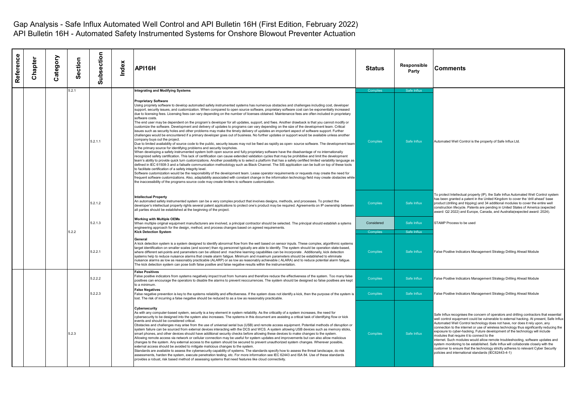| Reference | Chapter | Category | ection<br><b>SO</b> | ubsection<br>ഗ | Index | API16H                                                                                                                                                                                                                                                                                                                                                                                                                                                                                                                                                                                                                                                                                                                                                                                                                                                                                                                                                                                                                                                                                                                                                                                                                                                                                                                                                                                                                                                                                                                                                                                                                                                                                                                                                                                                                                                                                                                                                                                                                                                                                                                                                                                                                                                                                                                                                                                                                                          | Status                | Responsible<br>Party       | <b>Comments</b>                                                                                                                                                                                                                                                                                                                                                                                                                                                                                                                                                                                                                                                                                                                                                                                                  |
|-----------|---------|----------|---------------------|----------------|-------|-------------------------------------------------------------------------------------------------------------------------------------------------------------------------------------------------------------------------------------------------------------------------------------------------------------------------------------------------------------------------------------------------------------------------------------------------------------------------------------------------------------------------------------------------------------------------------------------------------------------------------------------------------------------------------------------------------------------------------------------------------------------------------------------------------------------------------------------------------------------------------------------------------------------------------------------------------------------------------------------------------------------------------------------------------------------------------------------------------------------------------------------------------------------------------------------------------------------------------------------------------------------------------------------------------------------------------------------------------------------------------------------------------------------------------------------------------------------------------------------------------------------------------------------------------------------------------------------------------------------------------------------------------------------------------------------------------------------------------------------------------------------------------------------------------------------------------------------------------------------------------------------------------------------------------------------------------------------------------------------------------------------------------------------------------------------------------------------------------------------------------------------------------------------------------------------------------------------------------------------------------------------------------------------------------------------------------------------------------------------------------------------------------------------------------------------------|-----------------------|----------------------------|------------------------------------------------------------------------------------------------------------------------------------------------------------------------------------------------------------------------------------------------------------------------------------------------------------------------------------------------------------------------------------------------------------------------------------------------------------------------------------------------------------------------------------------------------------------------------------------------------------------------------------------------------------------------------------------------------------------------------------------------------------------------------------------------------------------|
|           |         |          | 5.2.1               |                |       | <b>Integrating and Modifying Systems</b>                                                                                                                                                                                                                                                                                                                                                                                                                                                                                                                                                                                                                                                                                                                                                                                                                                                                                                                                                                                                                                                                                                                                                                                                                                                                                                                                                                                                                                                                                                                                                                                                                                                                                                                                                                                                                                                                                                                                                                                                                                                                                                                                                                                                                                                                                                                                                                                                        | Complie               | Safe Influx                |                                                                                                                                                                                                                                                                                                                                                                                                                                                                                                                                                                                                                                                                                                                                                                                                                  |
|           |         |          |                     | 5.2.1.1        |       | <b>Proprietary Software</b><br>Using propriety software to develop automated safety instrumented systems has numerous obstacles and challenges including cost, developer<br>support, security issues, and customization. When compared to open source software, proprietary software cost can be exponentially increased<br>due to licensing fees. Licensing fees can vary depending on the number of licenses obtained. Maintenance fees are often included in proprietary<br>software costs.<br>The end user may be dependent on the program's developer for all updates, support, and fixes. Another drawback is that you cannot modify or<br>customize the software. Development and delivery of updates to programs can vary depending on the size of the development team. Critical<br>issues such as security holes and other problems may make the timely delivery of updates an important aspect of software support. Further<br>challenges would be encountered if a primary developer goes out of business. No further updates or support would be available unless another<br>company buys out the project.<br>Due to limited availability of source code to the public, security issues may not be fixed as rapidly as open- source software. The development team<br>is the primary source for identifying problems and security loopholes.<br>When developing a safety instrumented system both open source and fully proprietary software have the disadvantage of no internationally<br>recognized safety certification. This lack of certification can cause extended validation cycles that may be prohibitive and limit the development<br>team's ability to provide quick turn customizations. Another possibility is to select a platform that has a safety certified limited variability language as<br>defined in IEC 61508-3 and a failsafe communication methodology such as Black Channel. The SIS application can be built on top of these tools<br>to facilitate certification of a safety integrity level.<br>Software customization would be the responsibility of the development team. Lease operator requirements or requests may create the need for<br>requent software customizations. Also, adaptability associated with constant change in the information technology field may create obstacles while<br>the inaccessibility of the programs source code may create limiters to software customization. | <b>Complies</b>       | Safe Influx                | Automated Well Control is the property of Safe Influx Ltd.                                                                                                                                                                                                                                                                                                                                                                                                                                                                                                                                                                                                                                                                                                                                                       |
|           |         |          |                     | 5.2.1.2        |       | <b>Intellectual Property</b><br>An automated safety instrumented system can be a very complex product that involves designs, methods, and processes. To protect the<br>developer's intellectual property rights several patent applications to protect one's product may be required. Agreements on IP ownership between<br>all parties should be established at the beginning of the project.                                                                                                                                                                                                                                                                                                                                                                                                                                                                                                                                                                                                                                                                                                                                                                                                                                                                                                                                                                                                                                                                                                                                                                                                                                                                                                                                                                                                                                                                                                                                                                                                                                                                                                                                                                                                                                                                                                                                                                                                                                                  | Complies              | Safe Influx                | To protect Intellectual property (IP), the Safe Influx Automated Well Control system<br>has been granted a patent in the United Kingdom to cover the 'drill ahead' base<br>product (drilling and tripping) and 34 additional modules to cover the entire well<br>construction lifecycle. Patents are pending in United States of America (expected<br>award: Q2 2022) and Europe, Canada, and Australia(expected award: 2024).                                                                                                                                                                                                                                                                                                                                                                                   |
|           |         |          | 5.2.2               | 5.2.1.3        |       | <b>Working with Multiple OEMs</b><br>When multiple original equipment manufacturers are involved, a principal contractor should be selected. The principal should establish a sytems<br>engineering approach for the design, method, and process changes based on agreed requirements.<br><b>Kick Detection System</b>                                                                                                                                                                                                                                                                                                                                                                                                                                                                                                                                                                                                                                                                                                                                                                                                                                                                                                                                                                                                                                                                                                                                                                                                                                                                                                                                                                                                                                                                                                                                                                                                                                                                                                                                                                                                                                                                                                                                                                                                                                                                                                                          | Considered<br>Complie | Safe Influx<br>Safe Influx | STAMP Process to be used                                                                                                                                                                                                                                                                                                                                                                                                                                                                                                                                                                                                                                                                                                                                                                                         |
|           |         |          |                     | 5.2.2.1        |       | General<br>A kick detection system is a system designed to identify abnormal flow from the well based on sensor inputs. These complex, algorithmic systems<br>target identification on smaller scales (and sooner) than rig personnel typically are able to identify. The system should be operation state-based,<br>where different set-points and parameters can be utilized and machine learning capabilities can be incorporate . Additionally, kick detection<br>systems help to reduce nuisance alarms that create alarm fatique. Minimum and maximum parameters should be established to eliminate<br>nuisance alarms as low as reasonably practicable (ALARP) or as low as reasonably achievable (ALARA) and to reduce potential alarm fatigue.<br>The kick detection system can pose both false positive and false negative results within the instrumentation.                                                                                                                                                                                                                                                                                                                                                                                                                                                                                                                                                                                                                                                                                                                                                                                                                                                                                                                                                                                                                                                                                                                                                                                                                                                                                                                                                                                                                                                                                                                                                                        | Complies              | Safe Influx                | False Positive Indicators Management Strategy Drilling Ahead Module                                                                                                                                                                                                                                                                                                                                                                                                                                                                                                                                                                                                                                                                                                                                              |
|           |         |          |                     | 5.2.2.2        |       | <b>False Positives</b><br>False positive indicators from systems negatively impact trust from humans and therefore reduce the effectiveness of the system. Too many false<br>positives can encourage the operators to disable the alarms to prevent reoccurrences. The system should be designed so false positives are kept<br>to a minimum.                                                                                                                                                                                                                                                                                                                                                                                                                                                                                                                                                                                                                                                                                                                                                                                                                                                                                                                                                                                                                                                                                                                                                                                                                                                                                                                                                                                                                                                                                                                                                                                                                                                                                                                                                                                                                                                                                                                                                                                                                                                                                                   | Complies              | Safe Influx                | False Positive Indicators Management Strategy Drilling Ahead Module                                                                                                                                                                                                                                                                                                                                                                                                                                                                                                                                                                                                                                                                                                                                              |
|           |         |          |                     | 5.2.2.3        |       | <b>False Negatives</b><br>False negative prevention is key to the systems reliability and effectiveness. If the system does not identify a kick, then the purpose of the system is<br>lost. The risk of incurring a false negative should be reduced to as a low as reasonably practicable.                                                                                                                                                                                                                                                                                                                                                                                                                                                                                                                                                                                                                                                                                                                                                                                                                                                                                                                                                                                                                                                                                                                                                                                                                                                                                                                                                                                                                                                                                                                                                                                                                                                                                                                                                                                                                                                                                                                                                                                                                                                                                                                                                     | <b>Complies</b>       | Safe Influx                | False Positive Indicators Management Strategy Drilling Ahead Module                                                                                                                                                                                                                                                                                                                                                                                                                                                                                                                                                                                                                                                                                                                                              |
|           |         |          | 5.2.3               |                |       | <b>Cybersecurity</b><br>As with any computer-based system, security is a key element in system reliability. As the criticality of a system increases, the need for<br>cybersecurity to be designed into the system also increases. The systems in this document are assisting a critical task of identifying flow or kick<br>events and should be considered critical.<br>Obstacles and challenges may arise from the use of universal serial bus (USB) and remote access equipment. Potential methods of disruption or<br>system failure can be sourced from external devices interacting with the DCS and WCS. A system allowing USB devices such as memory sticks,<br>smart phones, and other devices should have additional security checks before allowing these devices to make changes to the system.<br>Allowing remote access via network or cellular connection may be useful for system updates and improvements but can also allow malicious<br>changes to the system. Any external access to the system should be secured to prevent unauthorized system changes. Wherever possible,<br>external access should be avoided to mitigate malicious changes to the system.<br>Standards are available to assess the cybersecurity capability of systems. The standards specify how to assess the threat landscape, do risk<br>assessments, harden the system, execute penetration testing, etc. For more information see IEC 62443 and ISA 84. Use of these standards<br>provides a robust, risk based method of assessing systems that need features like cloud connectivity.                                                                                                                                                                                                                                                                                                                                                                                                                                                                                                                                                                                                                                                                                                                                                                                                                                                         | Complies              | Safe Influx                | Safe Influx recognises the concern of operators and drilling contractors that essential<br>well control equipment could be vulnerable to external hacking. At present, Safe Influx<br>Automated Well Control technology does not have, nor does it rely upon, any<br>connection to the internet or use of wireless technology thus significantly reducing the<br>exposure to cyber-hacking. Future development of the technology will include<br>modules that require it to connect to the<br>internet. Such modules would allow remote troubleshooting, software updates and<br>system monitoring to be established. Safe Influx will collaborate closely with the<br>customer to ensure that the technology strictly adheres to relevant Cyber Security<br>policies and international standards (IEC62443-4-1) |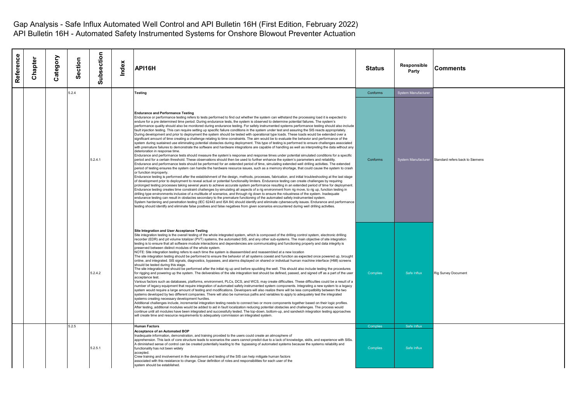| Reference | Chapter | Category | Section | Subsection | Index | API16H                                                                                                                                                                                                                                                                                                                                                                                                                                                                                                                                                                                                                                                                                                                                                                                                                                                                                                                                                                                                                                                                                                                                                                                                                                                                                                                                                                                                                                                                                                                                                                                                                                                                                                                                                                                                                                                                                                                                                                                                                                                                                                                                                                                                                                                                                                                                                                                                                                                                                                                                                                                                                                                                                                                                                                                                                                                                                                                                                                                                                                                                                                        | <b>Status</b>        | Responsible<br>Party       | <b>Comments</b>                                     |
|-----------|---------|----------|---------|------------|-------|---------------------------------------------------------------------------------------------------------------------------------------------------------------------------------------------------------------------------------------------------------------------------------------------------------------------------------------------------------------------------------------------------------------------------------------------------------------------------------------------------------------------------------------------------------------------------------------------------------------------------------------------------------------------------------------------------------------------------------------------------------------------------------------------------------------------------------------------------------------------------------------------------------------------------------------------------------------------------------------------------------------------------------------------------------------------------------------------------------------------------------------------------------------------------------------------------------------------------------------------------------------------------------------------------------------------------------------------------------------------------------------------------------------------------------------------------------------------------------------------------------------------------------------------------------------------------------------------------------------------------------------------------------------------------------------------------------------------------------------------------------------------------------------------------------------------------------------------------------------------------------------------------------------------------------------------------------------------------------------------------------------------------------------------------------------------------------------------------------------------------------------------------------------------------------------------------------------------------------------------------------------------------------------------------------------------------------------------------------------------------------------------------------------------------------------------------------------------------------------------------------------------------------------------------------------------------------------------------------------------------------------------------------------------------------------------------------------------------------------------------------------------------------------------------------------------------------------------------------------------------------------------------------------------------------------------------------------------------------------------------------------------------------------------------------------------------------------------------------------|----------------------|----------------------------|-----------------------------------------------------|
|           |         |          | 5.2.4   |            |       | <b>Testing</b>                                                                                                                                                                                                                                                                                                                                                                                                                                                                                                                                                                                                                                                                                                                                                                                                                                                                                                                                                                                                                                                                                                                                                                                                                                                                                                                                                                                                                                                                                                                                                                                                                                                                                                                                                                                                                                                                                                                                                                                                                                                                                                                                                                                                                                                                                                                                                                                                                                                                                                                                                                                                                                                                                                                                                                                                                                                                                                                                                                                                                                                                                                | Conforms             | System Manufacture         |                                                     |
|           |         |          |         | 5.2.4.1    |       | <b>Endurance and Performance Testing</b><br>Endurance or performance testing refers to tests performed to find out whether the system can withstand the processing load it is expected to<br>endure for a pre determined time period. During endurance tests, the system is observed to determine potential failures. The system's<br>performance quality should also be monitored during endurance testing. For safety instrumented systems performance testing should also include<br>fault injection testing. This can require setting up specific failure conditions in the system under test and assuring the SIS reacts appropriately.<br>During development and prior to deployment the system should be tested with operational type loads. These loads would be extended over a<br>significant amount of time creating a challenge relating to time constraints. The aim would be to evaluate the behavior and performance of the<br>system during sustained use eliminating potential obstacles during deployment. This type of testing is performed to ensure challenges associated<br>with premature failures to demonstrate the software and hardware integrations are capable of handling as well as interpreting the data without any<br>deterioration in response time.<br>Endurance and performance tests should measure the system's response and response times under potential simulated conditions for a specific<br>period and for a certain threshold. These observations should then be used to further enhance the system's parameters and reliability.<br>Endurance and performance tests should be performed for an extended period of time, simulating extended well drilling activities. The extended<br>period of testing ensures the system can handle the hardware resource issues, such as a memory shortage, that could cause the system to crash<br>or function improperly.<br>Endurance testing is performed after the establishment of the design, methods, processes, fabrication, and initial troubleshooting at the last stage<br>of development prior to deployment to reveal actual or potential functionality limiters. Endurance testing can create challenges by requiring<br>prolonged testing processes taking several years to achieve accurate system performance resulting in an extended period of time for deployment.<br>Endurance testing creates time constraint challenges by simulating all aspects of a rig environment from rig move, to rig up, function testing in<br>drilling type environments inclusive of a multitude of scenarios, and through rig down to ensure the robustness of the system. Inadequate<br>endurance testing can result in obstacles secondary to the premature functioning of the automated safety instrumented system.<br>System hardening and penetration testing (IEC 62443 and ISA 84) should identify and eliminate cybersecurity issues. Endurance and performance<br>testing should identify and eliminate false positives and false negatives from given scenarios encountered during well drilling activities. | Conforms             |                            | System Manufacturer Standard refers back to Siemens |
|           |         |          |         | 5.2.4.2    |       | Site Integration and User Acceptance Testing<br>Site integration testing is the overall testing of the whole integrated system, which is composed of the drilling control system, electronic drilling<br>recorder (EDR) and pit volume totalizer (PVT) systems, the automated SIS, and any other sub-systems. The main objective of site integration<br>testing is to ensure that all software module interactions and dependencies are communicating and functioning properly and data integrity is<br>preserved between distinct modules of the whole system.<br>NOTE: Site integration testing refers to each time the system is disassembled and reassembled at a new location<br>The site integration testing should be performed to ensure the behavior of all systems coexist and function as expected once powered up, brought<br>online, and integrated. SIS signals, diagnostics, bypasses, and alarms displayed on shared or individual human machine interface (HMI) screens<br>should be tested during this stage.<br>The site integration test should be performed after the initial rig up and before spudding the well. This should also include testing the procedures<br>for rigging and powering up the system. The deliverables of the site integration test should be defined, passed, and signed off as a part of the user<br>acceptance test.<br>Various factors such as databases, platforms, environment, PLCs, DCS, and WCS, may create difficulties. These difficulties could be a result of a<br>number of legacy equipment that require integration of automated safety instrumented system components. Integrating a new system to a legacy<br>system would require a large amount of testing and modifications. Developers will also realize there will be less compatibility between the two<br>systems developed by two different companies. There will also be numerous paths and variables to apply to adequately test the integrated<br>systems creating necessary development hurdles.<br>Additional challenges include, incremental integration testing needs to connect two or more components together based on their logic profiles.<br>After testing, additional modules would be added to aid in fault localization reducing potential obstacles and challenges. The process would<br>continue until all modules have been integrated and successfully tested. The top-down, bottom-up, and sandwich integration testing approaches<br>will create time and resource requirements to adequately commission an integrated system.                                                                                                                                                                                                                                                                                                                                                                                                                                                                                                                                   | Complies             | Safe Influx                | Rig Survey Document                                 |
|           |         |          | 5.2.5   | 5.2.5.1    |       | <b>Human Factors</b><br><b>Acceptance of an Automated BOP</b><br>Inadequate information, demonstration, and training provided to the users could create an atmosphere of<br>apprehension. This lack of core structure leads to scenarios the users cannot predict due to a lack of knowledge, skills, and experience with SISs.<br>A diminished sense of control can be created potentially leading to the bypassing of automated systems because the systems reliability and<br>functionality has not been widely<br>accepted.<br>Crew training and involvement in the devlopment and testing of the SIS can help mitigate human factors<br>associated with this resistance to change. Clear definition of roles and responsibilities for each user of the<br>system should be established.                                                                                                                                                                                                                                                                                                                                                                                                                                                                                                                                                                                                                                                                                                                                                                                                                                                                                                                                                                                                                                                                                                                                                                                                                                                                                                                                                                                                                                                                                                                                                                                                                                                                                                                                                                                                                                                                                                                                                                                                                                                                                                                                                                                                                                                                                                                  | Complies<br>Complies | Safe Influx<br>Safe Influx |                                                     |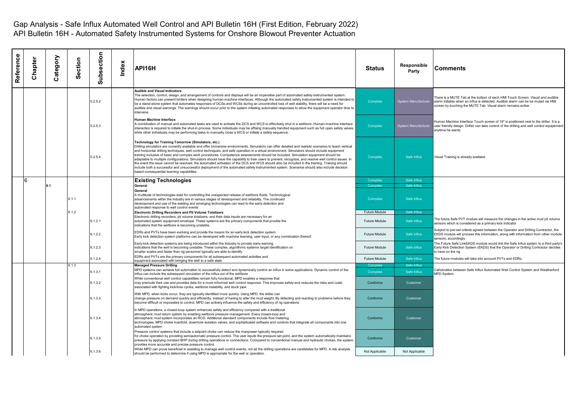| Reference | Chapter | Category | Section | Subsection | Index | API16H                                                                                                                                                                                                                                                                                                                                                                                                                                                                                                                                                                                                                                                                                                                                                                                                                                                                                                                                                                                                  | Status               | Responsible<br>Party       | <b>Comments</b>                                                                                                                                                                                                                      |
|-----------|---------|----------|---------|------------|-------|---------------------------------------------------------------------------------------------------------------------------------------------------------------------------------------------------------------------------------------------------------------------------------------------------------------------------------------------------------------------------------------------------------------------------------------------------------------------------------------------------------------------------------------------------------------------------------------------------------------------------------------------------------------------------------------------------------------------------------------------------------------------------------------------------------------------------------------------------------------------------------------------------------------------------------------------------------------------------------------------------------|----------------------|----------------------------|--------------------------------------------------------------------------------------------------------------------------------------------------------------------------------------------------------------------------------------|
|           |         |          |         | 5.2.5.2    |       | <b>Audible and Visual Indicators</b><br>The selection, control, design, and arrangement of controls and displays will be an imperative part of automated safety instrumented system.<br>Human factors can present limiters when designing human-machine interfaces. Although the automated safety instrumented system is intended to<br>be a stand-alone system that automates responses of DCSs and WCSs during an uncontrolled loss of well stability, there will be a need for<br>audible and visual warnings. The warnings should occur prior to the system initiating automated responses to allow the equipment operator time to<br>intervene.                                                                                                                                                                                                                                                                                                                                                    | <b>Complies</b>      | <b>System Manufacturer</b> | There is a MUTE Tab at the bottom of each HMI Touch Screen. Visual and audible<br>alarm initiates when an influx is detected. Audible alarm can be be muted via HMI<br>screen by touching the MUTE Tab. Visual alarm remains active. |
|           |         |          |         | 5.2.5.3    |       | <b>Human Machine Interface</b><br>A combination of manual and automated tasks are used to activate the DCS and WCS to effectively shut in a wellbore. Human-machine interface<br>nteraction is required to initiate the shut-in process. Some individuals may be affixing manually handled equipment such as full open safety valves,<br>while other individuals may be performing tasks to manually close a WCS or initiate a safety sequence.                                                                                                                                                                                                                                                                                                                                                                                                                                                                                                                                                         | <b>Complies</b>      | System Manufacturer        | Human Machine Interface Touch screen of 19" is positioned next to the driller. It is a<br>user friendly design. Driller can take control of the drilling and well control equipement<br>anvtime he wants.                            |
|           |         |          |         | 5.2.5.4    |       | Technology for Training Tomorrow (Simulators, etc.)<br>Drilling simulators are currently available and offer immersive environments. Simulators can offer detailed and realistic scenarios to teach vertical<br>and horizontal drilling techniques, well control techniques, and safe operation in a virtual environment. Simulators should include equipment<br>training inclusive of basic and complex work procedures. Competence assessments should be included. Simulation equipment should be<br>adaptable to multiple configurations. Simulators should have the capability to train users to prevent, recognize, and resolve well control issues. In<br>the event the issue cannot be resolved, the automated activation of the DCS and WCS should also be included in the training. Training should<br>include both a successful and unsuccessful deployment of the automated safety instrumented system. Scenarios should also include decision<br>based consequential learning capabilities. | <b>Complies</b>      | Safe Influx                | Visual Training is already availabe                                                                                                                                                                                                  |
|           | 6       |          |         |            |       | <b>Existing Technologies</b>                                                                                                                                                                                                                                                                                                                                                                                                                                                                                                                                                                                                                                                                                                                                                                                                                                                                                                                                                                            | Complies             | Safe Influx                |                                                                                                                                                                                                                                      |
|           |         | 6.1      |         |            |       | General                                                                                                                                                                                                                                                                                                                                                                                                                                                                                                                                                                                                                                                                                                                                                                                                                                                                                                                                                                                                 | Complies             | Safe Influx                |                                                                                                                                                                                                                                      |
|           |         |          | 6.1.1   |            |       | General<br>A multitude of technologies exist for controlling the unexpected release of wellbore fluids. Technological<br>advancements within the industry are in various stages of development and reliability. The continued<br>development and use of the existing and emerging technologies can lead to the early detection and<br>automated response to well control events                                                                                                                                                                                                                                                                                                                                                                                                                                                                                                                                                                                                                         | Complies             | Safe Influx                |                                                                                                                                                                                                                                      |
|           |         |          | 6.1.2   |            |       | <b>Electronic Drilling Recorders and Pit Volume Totalizers</b>                                                                                                                                                                                                                                                                                                                                                                                                                                                                                                                                                                                                                                                                                                                                                                                                                                                                                                                                          | <b>Future Module</b> | Safe Influx                |                                                                                                                                                                                                                                      |
|           |         |          |         | 6.1.2.1    |       | Electronic drilling recorders, pit volume totalizers, and their data inputs are necessary for an<br>automated system equipment envelope. These systems are the primary components that provide the<br>indications that the wellbore is becoming unstable.                                                                                                                                                                                                                                                                                                                                                                                                                                                                                                                                                                                                                                                                                                                                               | <b>Future Module</b> | Safe Influx                | The future Safe PVT module will measure the changes in the active mud pit volume<br>sensors which is considered as a primary kick indicator.                                                                                         |
|           |         |          |         | 6.1.2.2    |       | EDRs and PVTs have been evolving and provide the means for an early kick detection system.<br>Early kick detection system platforms can be developed with machine learning, user input, or any combination thereof.                                                                                                                                                                                                                                                                                                                                                                                                                                                                                                                                                                                                                                                                                                                                                                                     | Future Module        | Safe Influx                | Subject to pre-set criteria agreed between the Operator and Drilling Contractor, the<br>EKDS module will process this information, along with information from other module<br>sensors, accordingly                                  |
|           |         |          |         | 6.1.2.3    |       | Early kick detection systems are being introduced within the industry to provide early warning<br>indications that the well is becoming unstable. These complex, algorithmic systems target identification on<br>smaller scales and faster than rig personnel typically are able to identify.                                                                                                                                                                                                                                                                                                                                                                                                                                                                                                                                                                                                                                                                                                           | Future Module        | Safe Influx                | The Future Safe LinkEKDS module would link the Safe Influx system to a third party's<br>Early Kick Detection System (EKDS) that the Operator or Drilling Contractor decides<br>to have on the rig.                                   |
|           |         |          |         | 6.1.2.4    |       | EDRs and PVTs are the primary components for all subsequent automated activities and<br>equipment associated with bringing the well to a safe state.                                                                                                                                                                                                                                                                                                                                                                                                                                                                                                                                                                                                                                                                                                                                                                                                                                                    | Future Module        | Safe Influx                | The future modules will take into account PVTs and EDRs.                                                                                                                                                                             |
|           |         |          | 6.1.3   |            |       | <b>Managed Pressure Drilling</b>                                                                                                                                                                                                                                                                                                                                                                                                                                                                                                                                                                                                                                                                                                                                                                                                                                                                                                                                                                        | Complies             | Safe Influx                |                                                                                                                                                                                                                                      |
|           |         |          |         | 6.1.3.1    |       | MPD systems can achieve full automation to successfully detect and dynamically control an influx in some applications. Dynamic control of the<br>influx can include the subsequent circulation of the influx out of the wellbore                                                                                                                                                                                                                                                                                                                                                                                                                                                                                                                                                                                                                                                                                                                                                                        | Complies             | Safe Influx                | Callobration between Safe Influx Automated Well Control System and Weatherford<br>MPD System.                                                                                                                                        |
|           |         |          |         | 6.1.3.2    |       | While conventional well control capabilities remain fully functional, MPD enables a response that<br>may preclude their use and provides data for a more informed well control response. This improves safety and reduces the risks and costs<br>associated with fighting kick/loss cycles, wellbore instability, and stuck pipe.                                                                                                                                                                                                                                                                                                                                                                                                                                                                                                                                                                                                                                                                       | Conforms             | Customer                   |                                                                                                                                                                                                                                      |
|           |         |          |         | 6.1.3.3    |       | With MPD, when kicks occur, they are typically identified more quickly. Using MPD, the driller can<br>change pressure on demand quickly and efficiently, instead of having to alter the mud weight. By detecting and reacting to problems before they<br>become difficult or impossible to control, MPD can actively influence the safety and efficiency of rig operations                                                                                                                                                                                                                                                                                                                                                                                                                                                                                                                                                                                                                              | Conforms             | Customer                   |                                                                                                                                                                                                                                      |
|           |         |          |         | 6.1.3.4    |       | In MPD operations, a closed-loop system enhances safety and efficiency compared with a traditional<br>atmospheric mud return system by enabling wellbore pressure management. Every closed-loop and<br>atmospheric mud system incorporates an RCD. Additional standard components include flow metering<br>technologies, MPD choke manifold, downhole isolation valves, and sophisticated software and controls that integrate all components into one<br>automated system                                                                                                                                                                                                                                                                                                                                                                                                                                                                                                                              | Conforms             | Customer                   |                                                                                                                                                                                                                                      |
|           |         |          |         | 6.1.3.5    |       | Pressure control systems that include a setpoint choke can reduce the manpower typically required<br>for choke operation by providing semiautomatic pressure control. The user inputs the pressure set point, and the system automatically maintains<br>pressure by applying constant BHP during drilling operations or connections. Compared to conventional manual and hydraulic chokes, the system<br>provides more accurate and precise pressure control.                                                                                                                                                                                                                                                                                                                                                                                                                                                                                                                                           | Conforms             | Customer                   |                                                                                                                                                                                                                                      |
|           |         |          |         | 6.1.3.6    |       | While MPD can prove beneficial in assisting to manage well control events, not all the drilling operations are candidates for MPD. A risk analysis<br>should be performed to determine if using MPD is appropriate for the well or operation.                                                                                                                                                                                                                                                                                                                                                                                                                                                                                                                                                                                                                                                                                                                                                           | Not Applicable       | Not Applicable             |                                                                                                                                                                                                                                      |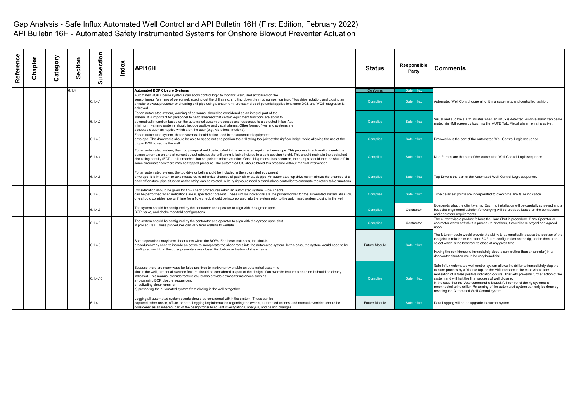| Reference | Chapter | ategory<br>ت | ction<br>ō<br><b>SO</b> | Subsection | Index | <b>API16H</b>                                                                                                                                                                                                                                                                                                                                                                                                                                                                                                                                                                 | <b>Status</b>        | Responsible<br>Party | Comments                                                                                                                                                                                                                                                                                                                                                                                                                                                                                                                                               |
|-----------|---------|--------------|-------------------------|------------|-------|-------------------------------------------------------------------------------------------------------------------------------------------------------------------------------------------------------------------------------------------------------------------------------------------------------------------------------------------------------------------------------------------------------------------------------------------------------------------------------------------------------------------------------------------------------------------------------|----------------------|----------------------|--------------------------------------------------------------------------------------------------------------------------------------------------------------------------------------------------------------------------------------------------------------------------------------------------------------------------------------------------------------------------------------------------------------------------------------------------------------------------------------------------------------------------------------------------------|
|           |         |              | 6.1.4                   |            |       | <b>Automated BOP Closure Systems</b>                                                                                                                                                                                                                                                                                                                                                                                                                                                                                                                                          | Conforms             | Safe Influx          |                                                                                                                                                                                                                                                                                                                                                                                                                                                                                                                                                        |
|           |         |              |                         | 6.1.4.1    |       | Automated BOP closure systems can apply control logic to monitor, warn, and act based on the<br>sensor inputs. Warning of personnel, spacing out the drill string, shutting down the mud pumps, turning off top drive rotation, and closing an<br>annular blowout preventer or shearing drill pipe using a shear ram, are examples of potential applications once DCS and WCS integration is<br>achieved.                                                                                                                                                                     | Complies             | Safe Influx          | Automated Well Control done all of it in a systematic and controlled fashion.                                                                                                                                                                                                                                                                                                                                                                                                                                                                          |
|           |         |              |                         | 6.1.4.2    |       | For an automated system, warning of personnel should be considered as an integral part of the<br>system. It is important for personnel to be forewarned that certain equipment functions are about to<br>automatically function based on the automated system processes and responses to a detected influx. At a<br>minimum, warning systems should include audible and visual alarms. Other forms of warning systems are<br>acceptable such as haptics which alert the user (e.g., vibrations, motions).                                                                     | <b>Complies</b>      | Safe Influx          | Visual and audible alarm initiates when an influx is detected. Audible alarm can be be<br>muted via HMI screen by touching the MUTE Tab. Visual alarm remains active.                                                                                                                                                                                                                                                                                                                                                                                  |
|           |         |              |                         | 6.1.4.3    |       | For an automated system, the drawworks should be included in the automated equipment<br>envelope. The drawworks should be able to space out and position the drill string tool joint at the rig floor height while allowing the use of the<br>proper BOP to secure the well.                                                                                                                                                                                                                                                                                                  | <b>Complies</b>      | Safe Influx          | Drawworks is the part of the Automated Well Control Logic sequence.                                                                                                                                                                                                                                                                                                                                                                                                                                                                                    |
|           |         |              |                         | 6.1.4.4    |       | For an automated system, the mud pumps should be included in the automated equipment envelope. This process in automation needs the<br>pumps to remain on and at current output rates as the drill string is being hoisted to a safe spacing height. This should maintain the equivalent<br>circulating density (ECD) until it reaches that set point to minimize influx. Once this process has occurred, the pumps should then be shut off. In<br>some circumstances there may be trapped pressure. The automated SIS should bleed this pressure without manual intervention | <b>Complies</b>      | Safe Influx          | Mud Pumps are the part of the Automated Well Control Logic sequence.                                                                                                                                                                                                                                                                                                                                                                                                                                                                                   |
|           |         |              |                         | 6.1.4.5    |       | For an automated system, the top drive or kelly should be included in the automated equipment<br>envelope. It is important to take measures to minimize chances of pack off or stuck pipe. An automated top drive can minimize the chances of a<br>pack off or stuck pipe situation as the string can be rotated. A kelly rig would need a stand-alone controller to automate the rotary table functions.                                                                                                                                                                     | <b>Complies</b>      | Safe Influx          | Top Drive is the part of the Automated Well Control Logic sequence.                                                                                                                                                                                                                                                                                                                                                                                                                                                                                    |
|           |         |              |                         | 6.1.4.6    |       | Consideration should be given for flow check procedures within an automated system. Flow checks<br>can be performed when indications are suspected or present. These similar indications are the primary driver for the automated system. As such,<br>one should consider how or if time for a flow check should be incorporated into the system prior to the automated system closing in the well.                                                                                                                                                                           | <b>Complies</b>      | Safe Influx          | Time delay set points are incorporated to overcome any false indication.                                                                                                                                                                                                                                                                                                                                                                                                                                                                               |
|           |         |              |                         | 6.1.4.7    |       | The system should be configured by the contractor and operator to align with the agreed upon<br>BOP, valve, and choke manifold configurations.                                                                                                                                                                                                                                                                                                                                                                                                                                | <b>Complies</b>      | Contractor           | It depends what the client wants. Each rig installation will be carefully surveyed and a<br>bespoke engineered solution for every rig will be provided based on the contractors<br>and operators requirements.                                                                                                                                                                                                                                                                                                                                         |
|           |         |              |                         | 6.1.4.8    |       | The system should be configured by the contractor and operator to align with the agreed upon shut<br>in procedures. These procedures can vary from wellsite to wellsite.                                                                                                                                                                                                                                                                                                                                                                                                      | <b>Complies</b>      | Contractor           | The current viable product follows the Hard Shut in procedure. If any Operator or<br>contractor wants soft shut in procedure or others, it could be surveyed and agreed<br>upon.                                                                                                                                                                                                                                                                                                                                                                       |
|           |         |              |                         | 6.1.4.9    |       | Some operations may have shear rams within the BOPs. For these instances, the shut-in<br>procedures may need to include an option to incorporate the shear rams into the automated system. In this case, the system would need to be                                                                                                                                                                                                                                                                                                                                          | <b>Future Module</b> | Safe Influx          | The future module would provide the ability to automatically assess the position of the<br>tool joint in relation to the exact BOP ram configuration on the rig, and to then auto-<br>select which is the best ram to close at any given time.                                                                                                                                                                                                                                                                                                         |
|           |         |              |                         |            |       | configured such that the other preventers are closed first before activation of shear rams.                                                                                                                                                                                                                                                                                                                                                                                                                                                                                   |                      |                      | Having the confidence to immediately close a ram (rather than an annular) in a<br>deepwater situation could be very beneficial.                                                                                                                                                                                                                                                                                                                                                                                                                        |
|           |         |              |                         | 6.1.4.10   |       | Because there are many ways for false positives to inadvertently enable an automated system to<br>shut in the well, a manual override feature should be considered as part of the design. If an override feature is enabled it should be clearly<br>indicated. This manual override feature could also provide options for instances such as<br>a) bypassing BOP closure sequences,<br>b) activating shear rams, or<br>c) preventing the automated system from closing in the well altogether.                                                                                | <b>Complies</b>      | Safe Influx          | Safe Influx Automated well control system allows the driller to immediately stop the<br>closure process by a 'double tap' on the HMI interface in the case where late<br>realisation of a false positive indication occurs. This veto prevents further action of the<br>system and will halt the final process of well closure.<br>In the case that the Veto command is issued, full control of the rig systems is<br>reconnected tothe driller. Re-arming of the automated system can only be done by<br>resetting the Automated Well Control system. |
|           |         |              |                         | 6.1.4.11   |       | Logging all automated system events should be considered within the system. These can be<br>captured either onsite, offsite, or both. Logging key information regarding the events, automated actions, and manual overrides should be<br>considered as an inherent part of the design for subsequent investigations, analysis, and design changes                                                                                                                                                                                                                             | <b>Future Module</b> | Safe Influx          | Data Logging will be an upgrade to current system.                                                                                                                                                                                                                                                                                                                                                                                                                                                                                                     |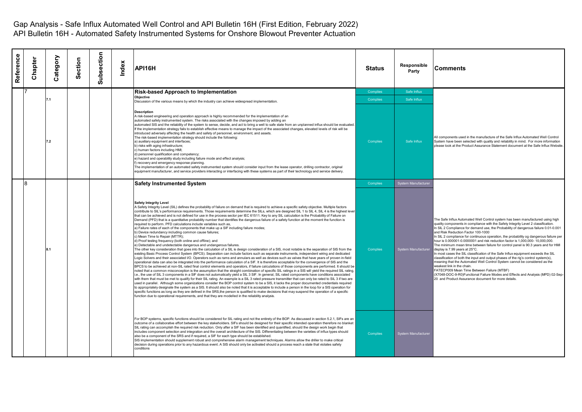| Reference | Chapter | Category       | ection<br><b>SO</b> | ubsection<br>ൎ | Index | API16H                                                                                                                                                                                                                                                                                                                                                                                                                                                                                                                                                                                                                                                                                                                                                                                                                                                                                                                                                                                                                                                                                                                                                                                                                                                                                                                                                                                                                                                                                                                                                                                                                                                                                                                                                                                                                                                                                                                                                                                                                                                                                                                                                                                                                                                                                                                                                                                                                                                                                                                                                                                                                                                                                                                                                                                                                                                             | <b>Status</b>   | Responsible<br>Party | Comments                                                                                                                                                                                                                                                                                                                                                                                                                                                                                                                                                                                                                                                                                                                                                                                                                                                                                                                                                                                                                                                                            |
|-----------|---------|----------------|---------------------|----------------|-------|--------------------------------------------------------------------------------------------------------------------------------------------------------------------------------------------------------------------------------------------------------------------------------------------------------------------------------------------------------------------------------------------------------------------------------------------------------------------------------------------------------------------------------------------------------------------------------------------------------------------------------------------------------------------------------------------------------------------------------------------------------------------------------------------------------------------------------------------------------------------------------------------------------------------------------------------------------------------------------------------------------------------------------------------------------------------------------------------------------------------------------------------------------------------------------------------------------------------------------------------------------------------------------------------------------------------------------------------------------------------------------------------------------------------------------------------------------------------------------------------------------------------------------------------------------------------------------------------------------------------------------------------------------------------------------------------------------------------------------------------------------------------------------------------------------------------------------------------------------------------------------------------------------------------------------------------------------------------------------------------------------------------------------------------------------------------------------------------------------------------------------------------------------------------------------------------------------------------------------------------------------------------------------------------------------------------------------------------------------------------------------------------------------------------------------------------------------------------------------------------------------------------------------------------------------------------------------------------------------------------------------------------------------------------------------------------------------------------------------------------------------------------------------------------------------------------------------------------------------------------|-----------------|----------------------|-------------------------------------------------------------------------------------------------------------------------------------------------------------------------------------------------------------------------------------------------------------------------------------------------------------------------------------------------------------------------------------------------------------------------------------------------------------------------------------------------------------------------------------------------------------------------------------------------------------------------------------------------------------------------------------------------------------------------------------------------------------------------------------------------------------------------------------------------------------------------------------------------------------------------------------------------------------------------------------------------------------------------------------------------------------------------------------|
|           |         |                |                     |                |       | <b>Risk-based Approach to Implementation</b>                                                                                                                                                                                                                                                                                                                                                                                                                                                                                                                                                                                                                                                                                                                                                                                                                                                                                                                                                                                                                                                                                                                                                                                                                                                                                                                                                                                                                                                                                                                                                                                                                                                                                                                                                                                                                                                                                                                                                                                                                                                                                                                                                                                                                                                                                                                                                                                                                                                                                                                                                                                                                                                                                                                                                                                                                       | Complies        | Safe Influx          |                                                                                                                                                                                                                                                                                                                                                                                                                                                                                                                                                                                                                                                                                                                                                                                                                                                                                                                                                                                                                                                                                     |
|           |         | 7 <sub>1</sub> |                     |                |       | <b>Objective</b><br>Discussion of the various means by which the industry can achieve widespread implementation.                                                                                                                                                                                                                                                                                                                                                                                                                                                                                                                                                                                                                                                                                                                                                                                                                                                                                                                                                                                                                                                                                                                                                                                                                                                                                                                                                                                                                                                                                                                                                                                                                                                                                                                                                                                                                                                                                                                                                                                                                                                                                                                                                                                                                                                                                                                                                                                                                                                                                                                                                                                                                                                                                                                                                   | Complies        | Safe Influx          |                                                                                                                                                                                                                                                                                                                                                                                                                                                                                                                                                                                                                                                                                                                                                                                                                                                                                                                                                                                                                                                                                     |
|           |         | 7.2            |                     |                |       | <b>Description</b><br>A risk-based engineering and operation approach is highly recommended for the implementation of an<br>automated safety instrumented system. The risks associated with the changes imposed by adding an<br>automated SIS and the reliability of the system to sense, decide, and act to bring a well to safe state from an unplanned influx should be evaluated.<br>If the implementation strategy fails to establish effective means to manage the impact of the associated changes, elevated levels of risk will be<br>introduced adversely affecting the health and safety of personnel, environment, and assets.<br>The risk-based implementation strategy should include the following:<br>a) auxiliary equipment and interfaces;<br>b) risks with aging infrastructure;<br>c) human factors including HMI:<br>d) personnel qualification and competency;<br>e) hazard and operability study including failure mode and effect analysis;<br>f) recovery and emergency response planning.<br>The implementation of an automated safety instrumented system should consider input from the lease operator, drilling contractor, original<br>equipment manufacturer, and service providers interacting or interfacing with these systems as part of their technology and service delivery.                                                                                                                                                                                                                                                                                                                                                                                                                                                                                                                                                                                                                                                                                                                                                                                                                                                                                                                                                                                                                                                                                                                                                                                                                                                                                                                                                                                                                                                                                                                                                  | <b>Complies</b> | Safe Influx          | All components used in the manufacture of the Safe Influx Automated Well Control<br>System have been selected with quality and reliability in mind. For more information<br>please look at the Product Assurance Statement document at the Safe Influx Website                                                                                                                                                                                                                                                                                                                                                                                                                                                                                                                                                                                                                                                                                                                                                                                                                      |
|           | R       |                |                     |                |       | <b>Safety Instrumented System</b>                                                                                                                                                                                                                                                                                                                                                                                                                                                                                                                                                                                                                                                                                                                                                                                                                                                                                                                                                                                                                                                                                                                                                                                                                                                                                                                                                                                                                                                                                                                                                                                                                                                                                                                                                                                                                                                                                                                                                                                                                                                                                                                                                                                                                                                                                                                                                                                                                                                                                                                                                                                                                                                                                                                                                                                                                                  | Complies        | System Manufacturer  |                                                                                                                                                                                                                                                                                                                                                                                                                                                                                                                                                                                                                                                                                                                                                                                                                                                                                                                                                                                                                                                                                     |
|           |         | 8 <sub>1</sub> |                     |                |       | <b>Safety Integrity Level</b><br>A Safety Integrity Level (SIL) defines the probability of failure on demand that is required to achieve a specific safety objective. Multiple factors<br>contribute to SIL's performance requirements. Those requirements determine the SILs, which are designed SIL 1 to SIL 4, SIL 4 is the highest level<br>that can be achieved and is not defined for use in the process sector per IEC 61511. Key to any SIL calculation is the Probability of Failure on<br>Demand (PFD) that is a quantitative probability number that identifies the dangerous failure of a safety function at the moment the function is<br>required to perform. PFD calculations include variables such as,<br>a) Failure rates of each of the components that make up a SIF including failure modes;<br>b) Device redundancy including common cause failures;<br>c) Mean Time to Repair (MTTR);<br>d) Proof testing frequency (both online and offline); and<br>e) Detectable and undetectable dangerous and undangerous failures.<br>The other key consideration that goes into the calculation of a SIL is design consideration of a SIS, most notable is the separation of SIS from the<br>existing Basic Process Control System (BPCS). Separation can include factors such as separate instruments, independent wiring and dedicated<br>Logic Solvers and their associated I/O. Operators such as rams and annulars as well as devices such as valves that have years of proven in-field<br>operational data can also be integrated into the performance calculation of a SIF. It is therefore acceptable for the convergence of SIS and the<br>BPCS to be achieved at non-SIL rated final control elements and operators, if failure calculations of those components are performed. It should be<br>noted that a common misconception is the assumption that the straight combination of specific SIL ratings in a SIS will yield the required SIL rating,<br>i.e., the use of SIL 3 components in a SIF does not automatically yield a SIL 3 SIF. In general, SIL rated components have conditions associated<br>with them that must be met to qualify for their SIL rating. An example is a SIL 3 rated pressure transmitter that can only be rated to SIL 3 if two are<br>used in parallel. Although some organizations consider the BOP control system to be a SIS, it lacks the proper documented credentials required<br>to appropriately designate the system as a SIS. It should also be noted that it is acceptable to include a person in the loop for a SIS operation for<br>specific functions as long as they are defined in the SRS, the person is qualified to make decisions that may suspend the operation of a specific<br>function due to operational requirements, and that they are modelled in the reliability analysis. | <b>Complies</b> | System Manufacturer  | The Safe Influx Automated Well Control system has been manufactured using high<br>quality components in compliance with the Safety Integrity Level 2 classification.<br>In SIL 2 Compliance for demand use, the Probability of dangerous failure 0.01-0.001<br>and Risk Reduction Factor 100-1000<br>In SIL 2 compliance for continuous operation, the probability og dangerous failure per<br>hour is 0.000001-0.0000001 and risk reduction factor is 1,000,000- 10,000,000.<br>The minimum mean time between failure for control panel is 90.3 years and for HMI<br>display is 7.99 years at 25°C.<br>In most cases the SIL classification of the Safe Influx equipment exceeds the SIL<br>classification of both the input and output phases of the rig's control system(s),<br>meaning that the Automated Well Control System cannot be considered as the<br>weakest link in the chain.<br>FATECP009 Mean Time Between Failure (MTBF)<br>(X7048-DOC-9-R0)Functional Failure Modes and Effects and Analysis (MPD) 02-Sep-<br>20 and Product Assurance document for more details. |
|           |         |                |                     |                |       | For BOP systems, specific functions should be considered for SIL rating and not the entirety of the BOP. As discussed in section 5.2.1, SIFs are an<br>outcome of a collaborative effort between the key stakeholders. SIFs should be designed for their specific intended operation therefore no blanket<br>SIL rating can accomplish the required risk reduction. Only after a SIF has been identified and quantified, should the design work begin that<br>includes component selection and integration and the overall architecture of the SIS. Differentiating between the varieties of influx types should<br>also be a component of the SRS and if required, a SIF for each type should be established.<br>SIS implementation should supplement robust and comprehensive alarm management techniques. Alarms allow the driller to make critical<br>decision during operations prior to any hazardous event. A SIS should only be activated should a process reach a state that violates safety<br>conditions                                                                                                                                                                                                                                                                                                                                                                                                                                                                                                                                                                                                                                                                                                                                                                                                                                                                                                                                                                                                                                                                                                                                                                                                                                                                                                                                                                                                                                                                                                                                                                                                                                                                                                                                                                                                                                                | Complies        | System Manufacturer  |                                                                                                                                                                                                                                                                                                                                                                                                                                                                                                                                                                                                                                                                                                                                                                                                                                                                                                                                                                                                                                                                                     |